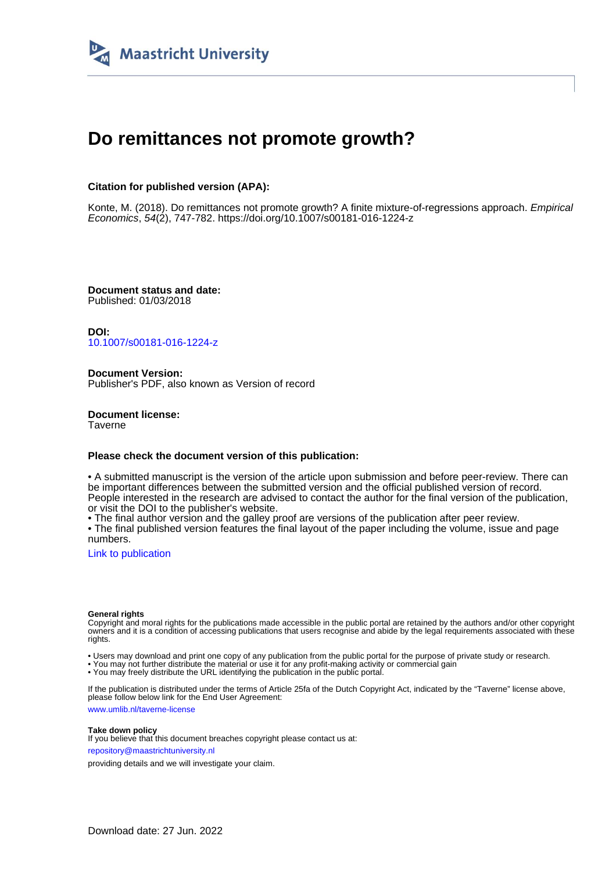

# **Do remittances not promote growth?**

### **Citation for published version (APA):**

Konte, M. (2018). Do remittances not promote growth? A finite mixture-of-regressions approach. Empirical Economics, 54(2), 747-782. <https://doi.org/10.1007/s00181-016-1224-z>

**Document status and date:** Published: 01/03/2018

**DOI:** [10.1007/s00181-016-1224-z](https://doi.org/10.1007/s00181-016-1224-z)

**Document Version:** Publisher's PDF, also known as Version of record

**Document license: Taverne** 

#### **Please check the document version of this publication:**

• A submitted manuscript is the version of the article upon submission and before peer-review. There can be important differences between the submitted version and the official published version of record. People interested in the research are advised to contact the author for the final version of the publication, or visit the DOI to the publisher's website.

• The final author version and the galley proof are versions of the publication after peer review.

• The final published version features the final layout of the paper including the volume, issue and page numbers.

[Link to publication](https://cris.maastrichtuniversity.nl/en/publications/9d54aa8a-99f9-4429-b8fd-167ad5930a07)

#### **General rights**

Copyright and moral rights for the publications made accessible in the public portal are retained by the authors and/or other copyright owners and it is a condition of accessing publications that users recognise and abide by the legal requirements associated with these rights.

• Users may download and print one copy of any publication from the public portal for the purpose of private study or research.

• You may not further distribute the material or use it for any profit-making activity or commercial gain

• You may freely distribute the URL identifying the publication in the public portal.

If the publication is distributed under the terms of Article 25fa of the Dutch Copyright Act, indicated by the "Taverne" license above, please follow below link for the End User Agreement:

www.umlib.nl/taverne-license

#### **Take down policy**

If you believe that this document breaches copyright please contact us at: repository@maastrichtuniversity.nl

providing details and we will investigate your claim.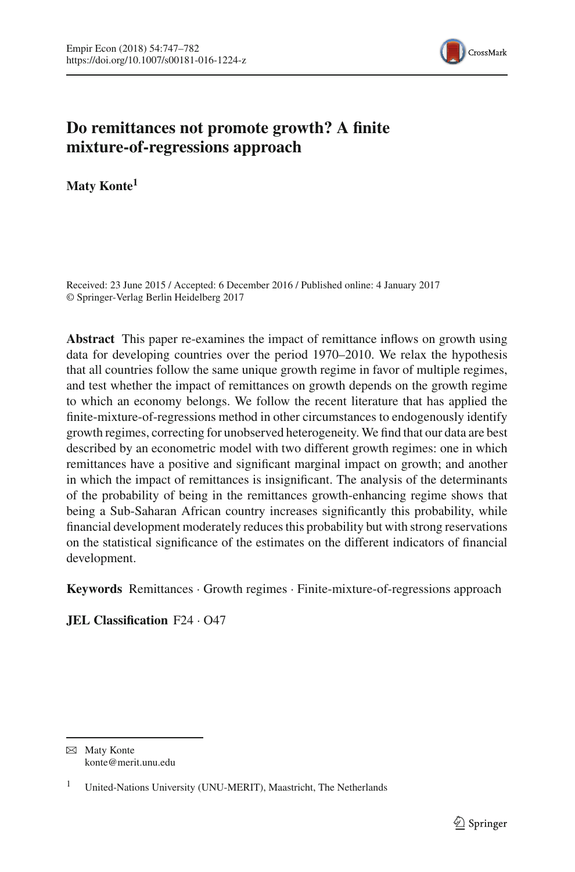

# **Do remittances not promote growth? A finite mixture-of-regressions approach**

**Maty Konte1**

Received: 23 June 2015 / Accepted: 6 December 2016 / Published online: 4 January 2017 © Springer-Verlag Berlin Heidelberg 2017

**Abstract** This paper re-examines the impact of remittance inflows on growth using data for developing countries over the period 1970–2010. We relax the hypothesis that all countries follow the same unique growth regime in favor of multiple regimes, and test whether the impact of remittances on growth depends on the growth regime to which an economy belongs. We follow the recent literature that has applied the finite-mixture-of-regressions method in other circumstances to endogenously identify growth regimes, correcting for unobserved heterogeneity. We find that our data are best described by an econometric model with two different growth regimes: one in which remittances have a positive and significant marginal impact on growth; and another in which the impact of remittances is insignificant. The analysis of the determinants of the probability of being in the remittances growth-enhancing regime shows that being a Sub-Saharan African country increases significantly this probability, while financial development moderately reduces this probability but with strong reservations on the statistical significance of the estimates on the different indicators of financial development.

**Keywords** Remittances · Growth regimes · Finite-mixture-of-regressions approach

**JEL Classification** F24 · O47

 $\boxtimes$  Maty Konte konte@merit.unu.edu

<sup>&</sup>lt;sup>1</sup> United-Nations University (UNU-MERIT), Maastricht, The Netherlands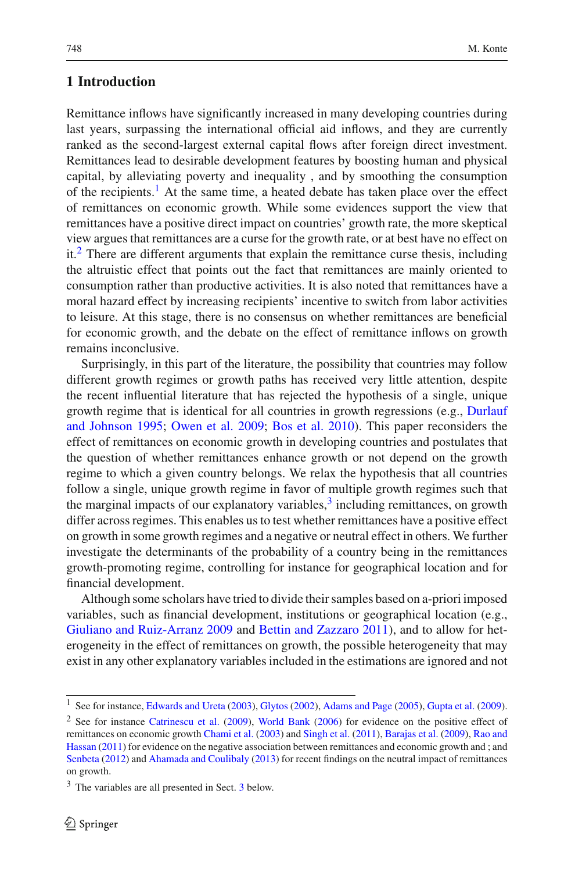### **1 Introduction**

Remittance inflows have significantly increased in many developing countries during last years, surpassing the international official aid inflows, and they are currently ranked as the second-largest external capital flows after foreign direct investment. Remittances lead to desirable development features by boosting human and physical capital, by alleviating poverty and inequality , and by smoothing the consumption of the recipients.<sup>1</sup> At the same time, a heated debate has taken place over the effect of remittances on economic growth. While some evidences support the view that remittances have a positive direct impact on countries' growth rate, the more skeptical view argues that remittances are a curse for the growth rate, or at best have no effect on  $it<sup>2</sup>$  $it<sup>2</sup>$  $it<sup>2</sup>$ . There are different arguments that explain the remittance curse thesis, including the altruistic effect that points out the fact that remittances are mainly oriented to consumption rather than productive activities. It is also noted that remittances have a moral hazard effect by increasing recipients' incentive to switch from labor activities to leisure. At this stage, there is no consensus on whether remittances are beneficial for economic growth, and the debate on the effect of remittance inflows on growth remains inconclusive.

Surprisingly, in this part of the literature, the possibility that countries may follow different growth regimes or growth paths has received very little attention, despite the recent influential literature that has rejected the hypothesis of a single, unique growth regi[me](#page-35-0) [that](#page-35-0) [is](#page-35-0) [identical](#page-35-0) [for](#page-35-0) [all](#page-35-0) [countries](#page-35-0) [in](#page-35-0) [growth](#page-35-0) [regressions](#page-35-0) [\(e.g.,](#page-35-0) Durlauf and Johnson [1995;](#page-35-0) [Owen et al. 2009;](#page-36-0) [Bos et al. 2010\)](#page-35-1). This paper reconsiders the effect of remittances on economic growth in developing countries and postulates that the question of whether remittances enhance growth or not depend on the growth regime to which a given country belongs. We relax the hypothesis that all countries follow a single, unique growth regime in favor of multiple growth regimes such that the marginal impacts of our explanatory variables, $3$  including remittances, on growth differ across regimes. This enables us to test whether remittances have a positive effect on growth in some growth regimes and a negative or neutral effect in others. We further investigate the determinants of the probability of a country being in the remittances growth-promoting regime, controlling for instance for geographical location and for financial development.

Although some scholars have tried to divide their samples based on a-priori imposed variables, such as financial development, institutions or geographical location (e.g., [Giuliano and Ruiz-Arranz 2009](#page-35-2) and [Bettin and Zazzaro 2011](#page-35-3)), and to allow for heterogeneity in the effect of remittances on growth, the possible heterogeneity that may exist in any other explanatory variables included in the estimations are ignored and not

<sup>&</sup>lt;sup>1</sup> See for instance, [Edwards and Ureta](#page-35-4) [\(2003\)](#page-35-4), [Glytos](#page-35-5) [\(2002\)](#page-35-5), [Adams and Page](#page-35-6) [\(2005](#page-35-6)), [Gupta et al.](#page-35-7) [\(2009](#page-35-7)).

<span id="page-2-1"></span><span id="page-2-0"></span><sup>&</sup>lt;sup>2</sup> See for instance [Catrinescu et al.](#page-35-8) [\(2009\)](#page-35-8), [World Bank](#page-36-1) [\(2006\)](#page-36-1) for evidence on the positive effect of remitta[nces](#page-36-3) [on](#page-36-3) [economic](#page-36-3) [growth](#page-36-3) [Chami et al.](#page-35-9) [\(2003](#page-35-9)) and [Singh et al.](#page-36-2) [\(2011\)](#page-36-2), [Barajas et al.](#page-35-10) [\(2009\)](#page-35-10), Rao and Hassan [\(2011\)](#page-36-3) for evidence on the negative association between remittances and economic growth and ; and [Senbeta](#page-36-4) [\(2012](#page-36-4)) and [Ahamada and Coulibaly](#page-35-11) [\(2013\)](#page-35-11) for recent findings on the neutral impact of remittances on growth.

<span id="page-2-2"></span><sup>3</sup> The variables are all presented in Sect. [3](#page-6-0) below.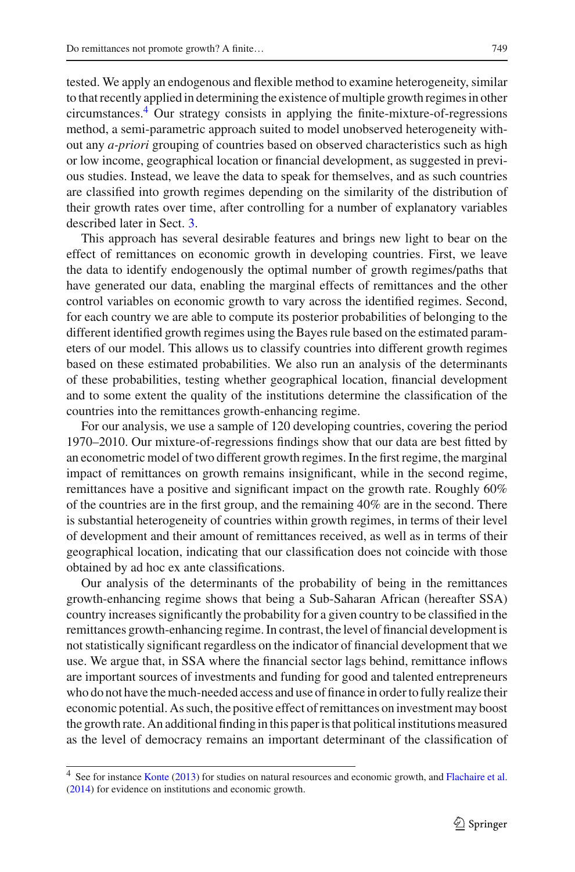tested. We apply an endogenous and flexible method to examine heterogeneity, similar to that recently applied in determining the existence of multiple growth regimes in other circumstances[.4](#page-3-0) Our strategy consists in applying the finite-mixture-of-regressions method, a semi-parametric approach suited to model unobserved heterogeneity without any *a-priori* grouping of countries based on observed characteristics such as high or low income, geographical location or financial development, as suggested in previous studies. Instead, we leave the data to speak for themselves, and as such countries are classified into growth regimes depending on the similarity of the distribution of their growth rates over time, after controlling for a number of explanatory variables described later in Sect. [3.](#page-6-0)

This approach has several desirable features and brings new light to bear on the effect of remittances on economic growth in developing countries. First, we leave the data to identify endogenously the optimal number of growth regimes/paths that have generated our data, enabling the marginal effects of remittances and the other control variables on economic growth to vary across the identified regimes. Second, for each country we are able to compute its posterior probabilities of belonging to the different identified growth regimes using the Bayes rule based on the estimated parameters of our model. This allows us to classify countries into different growth regimes based on these estimated probabilities. We also run an analysis of the determinants of these probabilities, testing whether geographical location, financial development and to some extent the quality of the institutions determine the classification of the countries into the remittances growth-enhancing regime.

For our analysis, we use a sample of 120 developing countries, covering the period 1970–2010. Our mixture-of-regressions findings show that our data are best fitted by an econometric model of two different growth regimes. In the first regime, the marginal impact of remittances on growth remains insignificant, while in the second regime, remittances have a positive and significant impact on the growth rate. Roughly 60% of the countries are in the first group, and the remaining 40% are in the second. There is substantial heterogeneity of countries within growth regimes, in terms of their level of development and their amount of remittances received, as well as in terms of their geographical location, indicating that our classification does not coincide with those obtained by ad hoc ex ante classifications.

Our analysis of the determinants of the probability of being in the remittances growth-enhancing regime shows that being a Sub-Saharan African (hereafter SSA) country increases significantly the probability for a given country to be classified in the remittances growth-enhancing regime. In contrast, the level of financial development is not statistically significant regardless on the indicator of financial development that we use. We argue that, in SSA where the financial sector lags behind, remittance inflows are important sources of investments and funding for good and talented entrepreneurs who do not have the much-needed access and use of finance in order to fully realize their economic potential. As such, the positive effect of remittances on investment may boost the growth rate. An additional finding in this paper is that political institutions measured as the level of democracy remains an important determinant of the classification of

<span id="page-3-0"></span><sup>&</sup>lt;sup>4</sup> See for instance [Konte](#page-35-12) [\(2013\)](#page-35-12) for studies on natural resources and economic growth, and [Flachaire et al.](#page-35-13) [\(2014](#page-35-13)) for evidence on institutions and economic growth.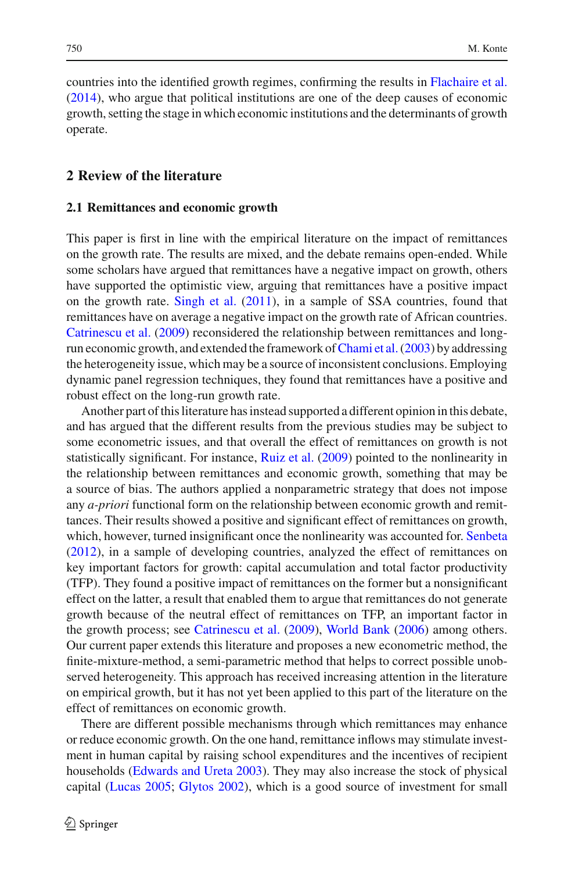countries into the identified growth regimes, confirming the results in [Flachaire et al.](#page-35-13) [\(2014\)](#page-35-13), who argue that political institutions are one of the deep causes of economic growth, setting the stage in which economic institutions and the determinants of growth operate.

#### <span id="page-4-0"></span>**2 Review of the literature**

#### **2.1 Remittances and economic growth**

This paper is first in line with the empirical literature on the impact of remittances on the growth rate. The results are mixed, and the debate remains open-ended. While some scholars have argued that remittances have a negative impact on growth, others have supported the optimistic view, arguing that remittances have a positive impact on the growth rate. [Singh et al.](#page-36-2) [\(2011\)](#page-36-2), in a sample of SSA countries, found that remittances have on average a negative impact on the growth rate of African countries. [Catrinescu et al.](#page-35-8) [\(2009](#page-35-8)) reconsidered the relationship between remittances and longrun economic growth, and extended the framework of Chami et al. (2003) by addressing the heterogeneity issue, which may be a source of inconsistent conclusions. Employing dynamic panel regression techniques, they found that remittances have a positive and robust effect on the long-run growth rate.

Another part of this literature has instead supported a different opinion in this debate, and has argued that the different results from the previous studies may be subject to some econometric issues, and that overall the effect of remittances on growth is not statistically significant. For instance, [Ruiz et al.](#page-36-5) [\(2009](#page-36-5)) pointed to the nonlinearity in the relationship between remittances and economic growth, something that may be a source of bias. The authors applied a nonparametric strategy that does not impose any *a-priori* functional form on the relationship between economic growth and remittances. Their results showed a positive and significant effect of remittances on growth, which, however, turned insignificant once the nonlinearity was accounted for. [Senbeta](#page-36-4) [\(2012\)](#page-36-4), in a sample of developing countries, analyzed the effect of remittances on key important factors for growth: capital accumulation and total factor productivity (TFP). They found a positive impact of remittances on the former but a nonsignificant effect on the latter, a result that enabled them to argue that remittances do not generate growth because of the neutral effect of remittances on TFP, an important factor in the growth process; see [Catrinescu et al.](#page-35-8) [\(2009\)](#page-35-8), [World Bank](#page-36-1) [\(2006\)](#page-36-1) among others. Our current paper extends this literature and proposes a new econometric method, the finite-mixture-method, a semi-parametric method that helps to correct possible unobserved heterogeneity. This approach has received increasing attention in the literature on empirical growth, but it has not yet been applied to this part of the literature on the effect of remittances on economic growth.

There are different possible mechanisms through which remittances may enhance or reduce economic growth. On the one hand, remittance inflows may stimulate investment in human capital by raising school expenditures and the incentives of recipient households [\(Edwards and Ureta 2003\)](#page-35-4). They may also increase the stock of physical capital [\(Lucas 2005;](#page-36-6) [Glytos 2002\)](#page-35-5), which is a good source of investment for small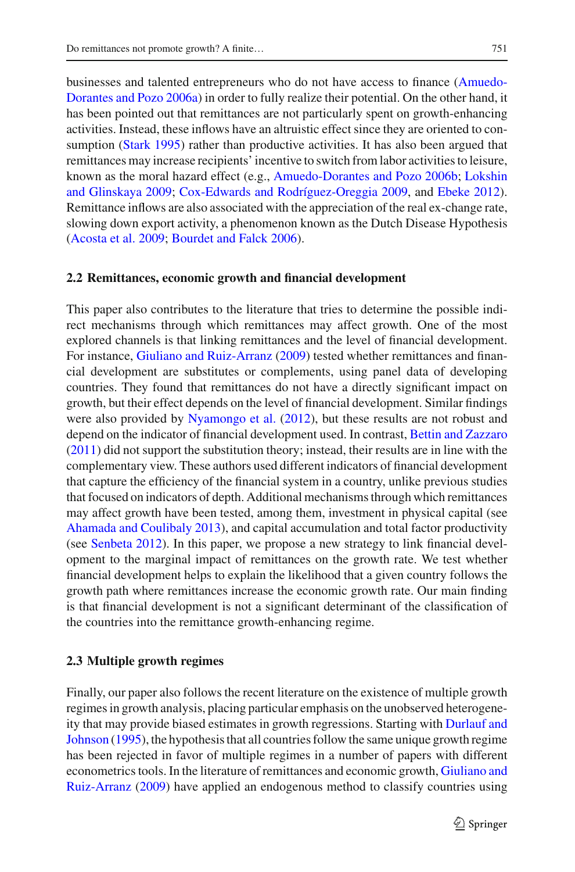businesses and tal[ented](#page-35-14) [entrepreneurs](#page-35-14) [who](#page-35-14) [do](#page-35-14) [not](#page-35-14) [have](#page-35-14) [access](#page-35-14) [to](#page-35-14) [finance](#page-35-14) [\(](#page-35-14)Amuedo-Dorantes and Pozo [2006a](#page-35-14)) in order to fully realize their potential. On the other hand, it has been pointed out that remittances are not particularly spent on growth-enhancing activities. Instead, these inflows have an altruistic effect since they are oriented to con-sumption [\(Stark 1995](#page-36-7)) rather than productive activities. It has also been argued that remittances may increase recipients' incentive to switch from labor activities to leisure, known as the moral hazard effect (e.g., [Amuedo-Dorantes and Pozo 2006b](#page-35-15)[;](#page-35-16) Lokshin and Glinskaya [2009](#page-35-16); [Cox-Edwards and Rodríguez-Oreggia 2009,](#page-35-17) and [Ebeke 2012](#page-35-18)). Remittance inflows are also associated with the appreciation of the real ex-change rate, slowing down export activity, a phenomenon known as the Dutch Disease Hypothesis [\(Acosta et al. 2009;](#page-35-19) [Bourdet and Falck 2006](#page-35-20)).

#### **2.2 Remittances, economic growth and financial development**

This paper also contributes to the literature that tries to determine the possible indirect mechanisms through which remittances may affect growth. One of the most explored channels is that linking remittances and the level of financial development. For instance, [Giuliano and Ruiz-Arranz](#page-35-2) [\(2009\)](#page-35-2) tested whether remittances and financial development are substitutes or complements, using panel data of developing countries. They found that remittances do not have a directly significant impact on growth, but their effect depends on the level of financial development. Similar findings were also provided by [Nyamongo et al.](#page-36-8) [\(2012](#page-36-8)), but these results are not robust and depend on the indicator of financial development used. In contrast, [Bettin and Zazzaro](#page-35-3) [\(2011\)](#page-35-3) did not support the substitution theory; instead, their results are in line with the complementary view. These authors used different indicators of financial development that capture the efficiency of the financial system in a country, unlike previous studies that focused on indicators of depth. Additional mechanisms through which remittances may affect growth have been tested, among them, investment in physical capital (see [Ahamada and Coulibaly 2013\)](#page-35-11), and capital accumulation and total factor productivity (see [Senbeta 2012\)](#page-36-4). In this paper, we propose a new strategy to link financial development to the marginal impact of remittances on the growth rate. We test whether financial development helps to explain the likelihood that a given country follows the growth path where remittances increase the economic growth rate. Our main finding is that financial development is not a significant determinant of the classification of the countries into the remittance growth-enhancing regime.

#### **2.3 Multiple growth regimes**

Finally, our paper also follows the recent literature on the existence of multiple growth regimes in growth analysis, placing particular emphasis on the unobserved heterogeneity that [may](#page-35-0) [provide](#page-35-0) [biased](#page-35-0) [estimates](#page-35-0) [in](#page-35-0) [growth](#page-35-0) [regressions.](#page-35-0) [Starting](#page-35-0) [with](#page-35-0) Durlauf and Johnson [\(1995](#page-35-0)), the hypothesis that all countries follow the same unique growth regime has been rejected in favor of multiple regimes in a number of papers with different econometric[s](#page-35-2) [tools.](#page-35-2) [In](#page-35-2) [the](#page-35-2) [literature](#page-35-2) [of](#page-35-2) [remittances](#page-35-2) [and](#page-35-2) [economic](#page-35-2) [growth,](#page-35-2) Giuliano and Ruiz-Arranz [\(2009\)](#page-35-2) have applied an endogenous method to classify countries using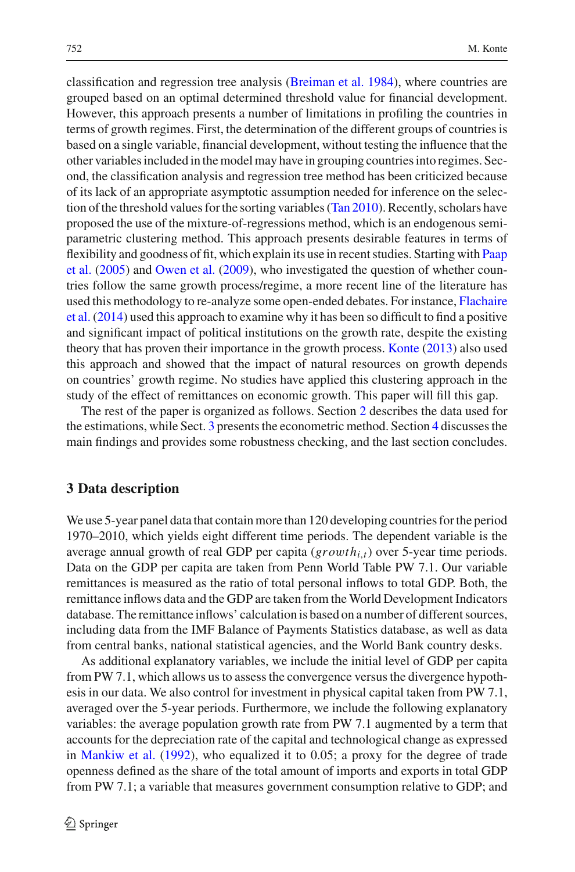classification and regression tree analysis [\(Breiman et al. 1984](#page-35-21)), where countries are grouped based on an optimal determined threshold value for financial development. However, this approach presents a number of limitations in profiling the countries in terms of growth regimes. First, the determination of the different groups of countries is based on a single variable, financial development, without testing the influence that the other variables included in the model may have in grouping countries into regimes. Second, the classification analysis and regression tree method has been criticized because of its lack of an appropriate asymptotic assumption needed for inference on the selection of the threshold values for the sorting variables [\(Tan 2010](#page-36-9)). Recently, scholars have proposed the use of the mixture-of-regressions method, which is an endogenous semiparametric clustering method. This approach presents desirable features in terms of flexi[bility](#page-36-10) [and](#page-36-10) [goodness](#page-36-10) [of](#page-36-10) [fit,](#page-36-10) [which](#page-36-10) [explain](#page-36-10) [its](#page-36-10) [use](#page-36-10) [in](#page-36-10) [recent](#page-36-10) [studies.](#page-36-10) [Starting](#page-36-10) [with](#page-36-10) Paap et al. [\(2005\)](#page-36-10) and [Owen et al.](#page-36-0) [\(2009](#page-36-0)), who investigated the question of whether countries follow the same growth process/regime, a more recent line of the literature has used [this](#page-35-13) [methodology](#page-35-13) [to](#page-35-13) [re-analyze](#page-35-13) [some](#page-35-13) [open-ended](#page-35-13) [debates.](#page-35-13) [For](#page-35-13) [instance,](#page-35-13) Flachaire et al. [\(2014](#page-35-13)) used this approach to examine why it has been so difficult to find a positive and significant impact of political institutions on the growth rate, despite the existing theory that has proven their importance in the growth process. [Konte](#page-35-12) [\(2013](#page-35-12)) also used this approach and showed that the impact of natural resources on growth depends on countries' growth regime. No studies have applied this clustering approach in the study of the effect of remittances on economic growth. This paper will fill this gap.

The rest of the paper is organized as follows. Section [2](#page-4-0) describes the data used for the estimations, while Sect. [3](#page-6-0) presents the econometric method. Section [4](#page-7-0) discusses the main findings and provides some robustness checking, and the last section concludes.

#### <span id="page-6-0"></span>**3 Data description**

We use 5-year panel data that contain more than 120 developing countries for the period 1970–2010, which yields eight different time periods. The dependent variable is the average annual growth of real GDP per capita  $(growth_{i,t})$  over 5-year time periods. Data on the GDP per capita are taken from Penn World Table PW 7.1. Our variable remittances is measured as the ratio of total personal inflows to total GDP. Both, the remittance inflows data and the GDP are taken from the World Development Indicators database. The remittance inflows' calculation is based on a number of different sources, including data from the IMF Balance of Payments Statistics database, as well as data from central banks, national statistical agencies, and the World Bank country desks.

As additional explanatory variables, we include the initial level of GDP per capita from PW 7.1, which allows us to assess the convergence versus the divergence hypothesis in our data. We also control for investment in physical capital taken from PW 7.1, averaged over the 5-year periods. Furthermore, we include the following explanatory variables: the average population growth rate from PW 7.1 augmented by a term that accounts for the depreciation rate of the capital and technological change as expressed in [Mankiw et al.](#page-36-11) [\(1992\)](#page-36-11), who equalized it to 0.05; a proxy for the degree of trade openness defined as the share of the total amount of imports and exports in total GDP from PW 7.1; a variable that measures government consumption relative to GDP; and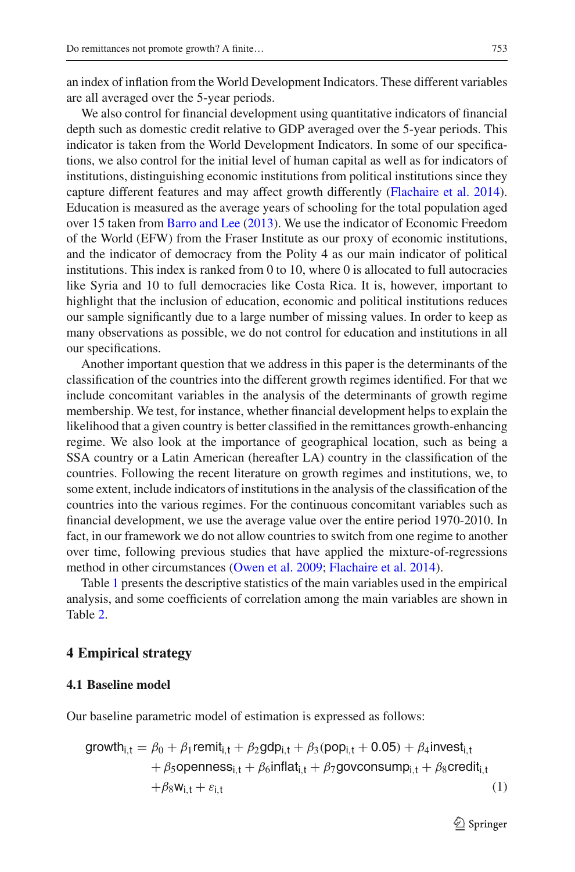We also control for financial development using quantitative indicators of financial depth such as domestic credit relative to GDP averaged over the 5-year periods. This indicator is taken from the World Development Indicators. In some of our specifications, we also control for the initial level of human capital as well as for indicators of institutions, distinguishing economic institutions from political institutions since they capture different features and may affect growth differently [\(Flachaire et al. 2014](#page-35-13)). Education is measured as the average years of schooling for the total population aged over 15 taken from [Barro and Lee](#page-35-22) [\(2013](#page-35-22)). We use the indicator of Economic Freedom of the World (EFW) from the Fraser Institute as our proxy of economic institutions, and the indicator of democracy from the Polity 4 as our main indicator of political institutions. This index is ranked from 0 to 10, where 0 is allocated to full autocracies like Syria and 10 to full democracies like Costa Rica. It is, however, important to highlight that the inclusion of education, economic and political institutions reduces our sample significantly due to a large number of missing values. In order to keep as many observations as possible, we do not control for education and institutions in all our specifications.

Another important question that we address in this paper is the determinants of the classification of the countries into the different growth regimes identified. For that we include concomitant variables in the analysis of the determinants of growth regime membership. We test, for instance, whether financial development helps to explain the likelihood that a given country is better classified in the remittances growth-enhancing regime. We also look at the importance of geographical location, such as being a SSA country or a Latin American (hereafter LA) country in the classification of the countries. Following the recent literature on growth regimes and institutions, we, to some extent, include indicators of institutions in the analysis of the classification of the countries into the various regimes. For the continuous concomitant variables such as financial development, we use the average value over the entire period 1970-2010. In fact, in our framework we do not allow countries to switch from one regime to another over time, following previous studies that have applied the mixture-of-regressions method in other circumstances [\(Owen et al. 2009;](#page-36-0) [Flachaire et al. 2014](#page-35-13)).

Table [1](#page-8-0) presents the descriptive statistics of the main variables used in the empirical analysis, and some coefficients of correlation among the main variables are shown in Table [2.](#page-10-0)

#### <span id="page-7-0"></span>**4 Empirical strategy**

#### **4.1 Baseline model**

Our baseline parametric model of estimation is expressed as follows:

<span id="page-7-1"></span>
$$
\text{growth}_{i,t} = \beta_0 + \beta_1 \text{remit}_{i,t} + \beta_2 \text{gdp}_{i,t} + \beta_3 (\text{pop}_{i,t} + 0.05) + \beta_4 \text{invest}_{i,t} + \beta_5 \text{openness}_{i,t} + \beta_6 \text{inflat}_{i,t} + \beta_7 \text{govconsump}_{i,t} + \beta_8 \text{credit}_{i,t} + \beta_8 w_{i,t} + \varepsilon_{i,t}
$$
\n(1)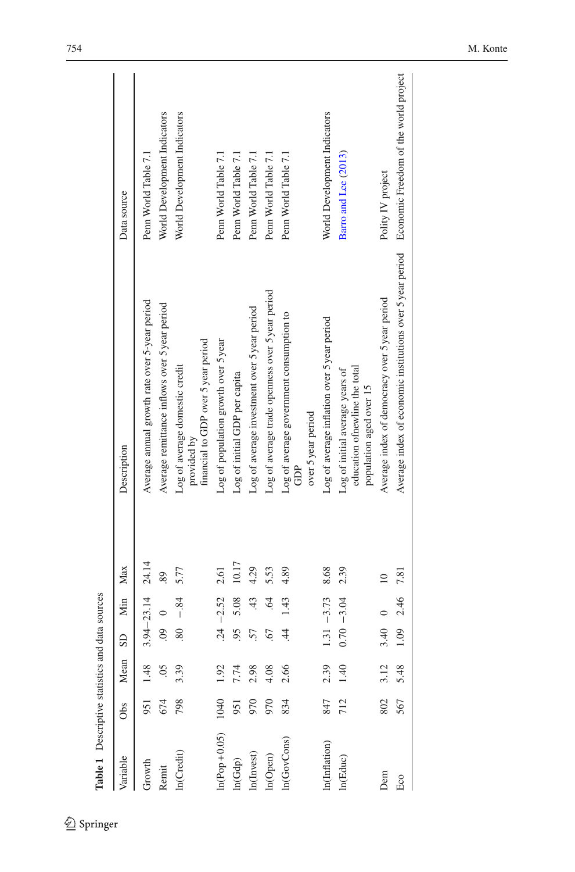<span id="page-8-0"></span>

| Table 1 Descriptive statistics and data sources |      |                |                        |                      |           |                                                                                                 |                              |
|-------------------------------------------------|------|----------------|------------------------|----------------------|-----------|-------------------------------------------------------------------------------------------------|------------------------------|
| Variable                                        | Obs  | Mean           | $\overline{\text{SD}}$ | Min                  | Max       | Description                                                                                     | Data source                  |
| Growth                                          | 951  | $\frac{48}{5}$ |                        | $3.94 - 23.14$ 24.14 |           | Average annual growth rate over 5-year period                                                   | Penn World Table 7.1         |
| Remit                                           | 674  |                | $\overline{6}$         |                      | 89.       | Average remittance inflows over 5 year period                                                   | World Development Indicators |
| $ln(C_{\rm redit})$                             | 798  | 3.39           | 80                     | $-84$                | 5.77      | financial to GDP over 5 year period<br>Log of average domestic credit<br>provided by            | World Development Indicators |
| $n(Pop+0.05)$                                   | 1040 | 1.92           |                        | $.24 - 2.52$         | 2.61      | Log of population growth over 5 year                                                            | Penn World Table 7.1         |
| ln(Gdp)                                         | 951  | 7.74           | 95                     | 5.08                 | 10.17     | Log of initial GDP per capita                                                                   | Penn World Table 7.1         |
| In(Invest)                                      | 970  | 2.98           | 57                     | 43                   | 4.29      | Log of average investment over 5 year period                                                    | Penn World Table 7.1         |
| ln(Open)                                        | 970  | $4.08$<br>2.66 | 67                     | $\widetilde{z}$      | 5.53      | Log of average trade openness over 5 year period                                                | Penn World Table 7.1         |
| n(GovCons)                                      | 834  |                | $\overline{4}$         | 1.43                 | 4.89      | Log of average government consumption to<br>over 5 year period<br>GDP                           | Penn World Table 7.1         |
| n(Inflation)                                    | 847  | 2.39           |                        | $1.31 - 3.73$        | 8.68      | Log of average inflation over 5 year period                                                     | World Development Indicators |
| In(Educ)                                        | 712  | 40             |                        | $0.70 - 3.04$        | 2.39      | education of newline the total<br>Log of initial average years of<br>population aged over 15    | Barro and Lee (2013)         |
| Dem                                             | 802  | 3.12           | 3.40                   |                      | $\approx$ | Average index of democracy over 5 year period                                                   | Polity IV project            |
| Eco                                             | 567  | 5.48           | 1.09                   | 2.46                 | 7.81      | Average index of economic institutions over 5 year period Economic Freedom of the world project |                              |
|                                                 |      |                |                        |                      |           |                                                                                                 |                              |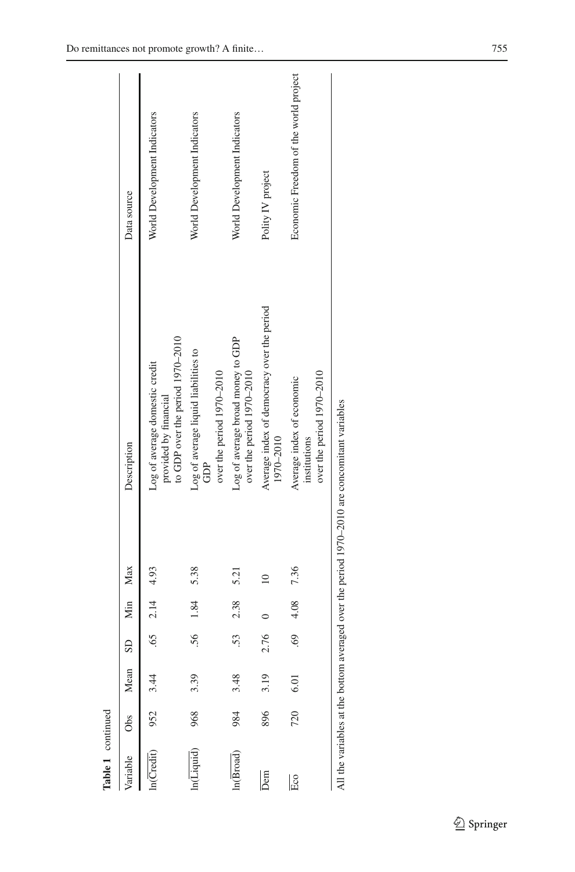| Table 1 continued               |     |      |                        |                   |           |                                                                                             |                                       |
|---------------------------------|-----|------|------------------------|-------------------|-----------|---------------------------------------------------------------------------------------------|---------------------------------------|
| Variable                        | Obs | Mean | $\overline{\text{SD}}$ | Min Max           |           | Description                                                                                 | Data source                           |
| n(Credit)                       | 952 |      |                        | $.65$ $2.14$ 4.93 |           | to GDP over the period 1970-2010<br>Log of average domestic credit<br>provided by financial | World Development Indicators          |
|                                 | 968 | 3.39 |                        | .56 1.84          | 5.38      | Log of average liquid liabilities to<br>over the period 1970-2010<br>GDP                    | World Development Indicators          |
| n(Broad)                        | 984 | 3.48 | 53.                    | 2.38              | 5.21      | Log of average broad money to GDP<br>over the period 1970-2010                              | World Development Indicators          |
| $\overline{\mathsf{Den}}$       | 896 | 3.19 | 2.76                   |                   | $\approx$ | Average index of democracy over the period<br>1970-2010                                     | Polity IV project                     |
| Eco                             | 720 | 6.01 | 69                     | 4.08              | 7.36      | over the period $1970-2010$<br>Average index of economic<br>institutions                    | Economic Freedom of the world project |
| All the variables at the bottom |     |      |                        |                   |           | averaged over the period 1970–2010 are concomitant variables                                |                                       |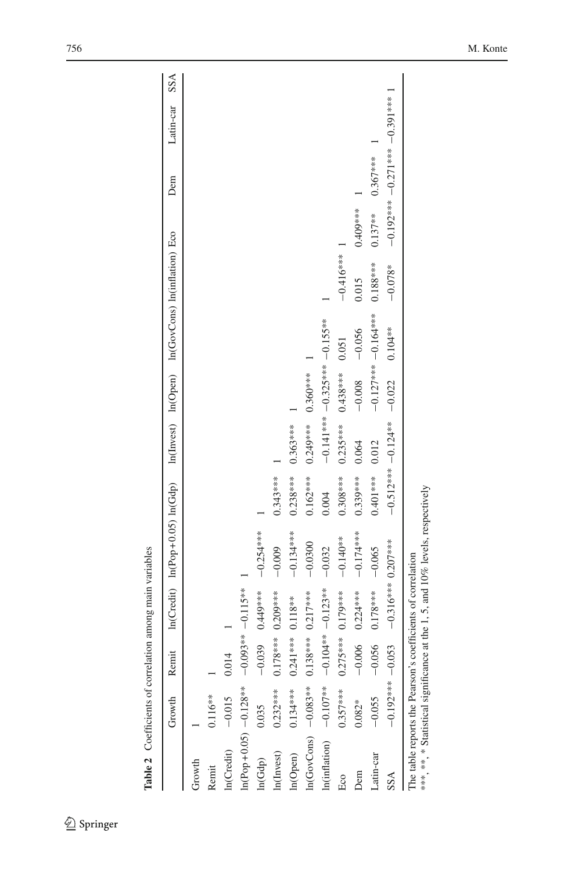|                          | Growth            | Remi     |                        | $ln(Credit)$ $ln(Pop+0.05)$ $ln(Gdp)$ |            |                      |                         |             | In(Invest) In(Open) In(GovCons) In(inflation) Eco |            | Dem                              | Latin-car | SSA |
|--------------------------|-------------------|----------|------------------------|---------------------------------------|------------|----------------------|-------------------------|-------------|---------------------------------------------------|------------|----------------------------------|-----------|-----|
| Growth                   |                   |          |                        |                                       |            |                      |                         |             |                                                   |            |                                  |           |     |
| Remit                    | $0.116**$         |          |                        |                                       |            |                      |                         |             |                                                   |            |                                  |           |     |
| In(Credit)               | $-0.015$          | 0.014    |                        |                                       |            |                      |                         |             |                                                   |            |                                  |           |     |
| $ln(Pop+0.05) -0.128***$ |                   |          | $-0.093***-0.115***$   |                                       |            |                      |                         |             |                                                   |            |                                  |           |     |
| 0.035<br>ln(Gdp)         |                   |          | $-0.039$ 0.449***      | $-0.254***$                           |            |                      |                         |             |                                                   |            |                                  |           |     |
| In(Invest)               | $0.232***$        |          | $0.178***00.209***$    | $-0.009$                              | $0.343***$ |                      |                         |             |                                                   |            |                                  |           |     |
| In(Open)                 | $0.134***$        | 0.241    | [*** 0.118**           | $-0.134***$                           | $0.238***$ | $0.363***$           |                         |             |                                                   |            |                                  |           |     |
| $ln(GovCons) -0.083***$  |                   |          | $0.138***0.217***$     | $-0.0300$                             | $0.162***$ | $0.249$ *** $0.360$  |                         |             |                                                   |            |                                  |           |     |
| In(inflation)            | $-0.107**$        |          | $-0.104** -0.123**$    | $-0.032$                              | 0.004      |                      | $-0.141***$ $-0.325***$ |             |                                                   |            |                                  |           |     |
| Eco                      | $0.357***$        |          | 0.275**** 0.179***     | $-0.140**$                            | $0.308***$ | $0.235***$           | $0.438***$              | 0.051       | $-0.416***$                                       |            |                                  |           |     |
| Dem                      | $0.082*$          | $-0.006$ | $0.224***$             | $-0.174***$                           | $0.339***$ | 0.064                | $-0.008$                | $-0.056$    | 0.015                                             | 0.409***   |                                  |           |     |
| Latin-car                | $-0.055$          | $-0.056$ | $0.178***$             | $-0.065$                              | $0.401***$ | 0.012                |                         | $-0.127***$ | $0.188***$                                        | $0.137***$ | $0.367***$                       |           |     |
| SSA                      | $-0.192***-0.053$ |          | $-0.316***$ $0.207***$ |                                       |            | $-0.512***-0.124***$ | $-0.022$                | $0.104**$   | $-0.078*$                                         |            | 1 ***166.01 +***120.01 +***26π01 |           |     |

<span id="page-10-0"></span>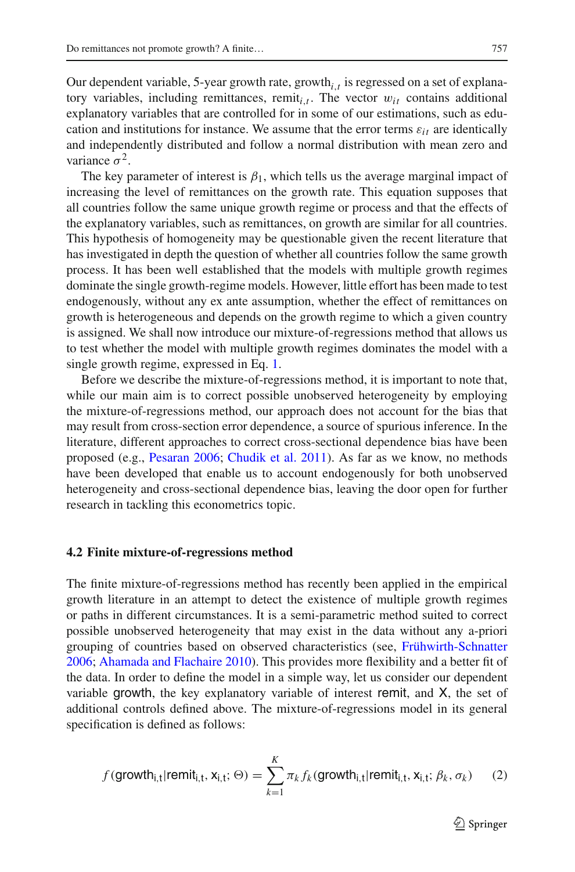Our dependent variable, 5-year growth rate, growth*i*,*<sup>t</sup>* is regressed on a set of explanatory variables, including remittances, remit<sub>i,t</sub>. The vector  $w_{it}$  contains additional explanatory variables that are controlled for in some of our estimations, such as education and institutions for instance. We assume that the error terms  $\varepsilon_{it}$  are identically and independently distributed and follow a normal distribution with mean zero and variance  $\sigma^2$ .

The key parameter of interest is  $\beta_1$ , which tells us the average marginal impact of increasing the level of remittances on the growth rate. This equation supposes that all countries follow the same unique growth regime or process and that the effects of the explanatory variables, such as remittances, on growth are similar for all countries. This hypothesis of homogeneity may be questionable given the recent literature that has investigated in depth the question of whether all countries follow the same growth process. It has been well established that the models with multiple growth regimes dominate the single growth-regime models. However, little effort has been made to test endogenously, without any ex ante assumption, whether the effect of remittances on growth is heterogeneous and depends on the growth regime to which a given country is assigned. We shall now introduce our mixture-of-regressions method that allows us to test whether the model with multiple growth regimes dominates the model with a single growth regime, expressed in Eq. [1.](#page-7-1)

Before we describe the mixture-of-regressions method, it is important to note that, while our main aim is to correct possible unobserved heterogeneity by employing the mixture-of-regressions method, our approach does not account for the bias that may result from cross-section error dependence, a source of spurious inference. In the literature, different approaches to correct cross-sectional dependence bias have been proposed (e.g., [Pesaran 2006](#page-36-12); [Chudik et al. 2011](#page-35-23)). As far as we know, no methods have been developed that enable us to account endogenously for both unobserved heterogeneity and cross-sectional dependence bias, leaving the door open for further research in tackling this econometrics topic.

#### **4.2 Finite mixture-of-regressions method**

The finite mixture-of-regressions method has recently been applied in the empirical growth literature in an attempt to detect the existence of multiple growth regimes or paths in different circumstances. It is a semi-parametric method suited to correct possible unobserved heterogeneity that may exist in the data without any a-priori grouping of countries based on observed characteristics (see, [Frühwirth-Schnatter](#page-35-24) [2006;](#page-35-24) [Ahamada and Flachaire 2010](#page-35-25)). This provides more flexibility and a better fit of the data. In order to define the model in a simple way, let us consider our dependent variable growth, the key explanatory variable of interest remit, and X, the set of additional controls defined above. The mixture-of-regressions model in its general specification is defined as follows:

<span id="page-11-0"></span>
$$
f(\text{growth}_{i,t}|\text{remit}_{i,t}, \mathbf{x}_{i,t}; \Theta) = \sum_{k=1}^{K} \pi_k f_k(\text{growth}_{i,t}|\text{remit}_{i,t}, \mathbf{x}_{i,t}; \beta_k, \sigma_k)
$$
(2)

 $\mathcal{L}$  Springer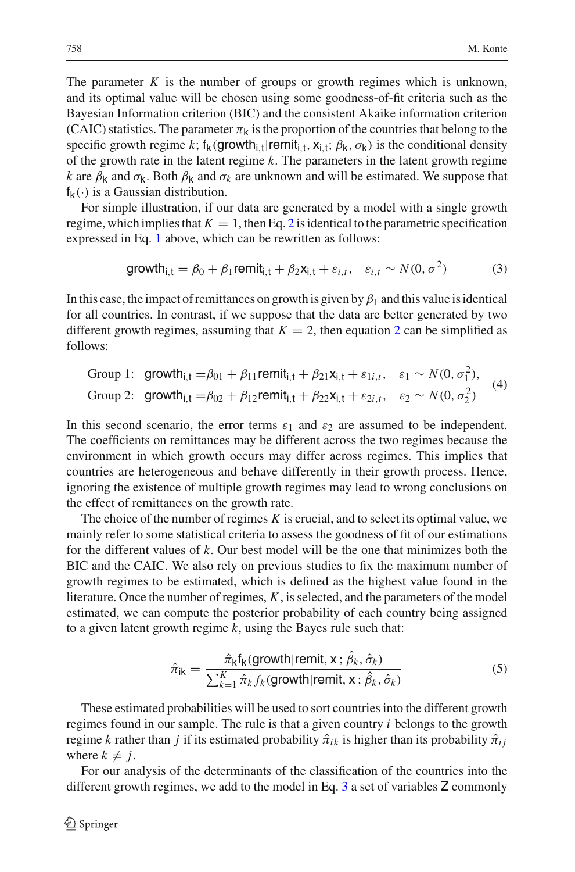The parameter  $K$  is the number of groups or growth regimes which is unknown, and its optimal value will be chosen using some goodness-of-fit criteria such as the Bayesian Information criterion (BIC) and the consistent Akaike information criterion (CAIC) statistics. The parameter  $\pi_k$  is the proportion of the countries that belong to the specific growth regime k;  $f_k$ (growth<sub>it</sub>|remit<sub>it,  $x_{i,t}$ ;  $\beta_k$ ,  $\sigma_k$ ) is the conditional density</sub> of the growth rate in the latent regime *k*. The parameters in the latent growth regime *k* are  $\beta_k$  and  $\sigma_k$ . Both  $\beta_k$  and  $\sigma_k$  are unknown and will be estimated. We suppose that  $f_k(\cdot)$  is a Gaussian distribution.

For simple illustration, if our data are generated by a model with a single growth regime, which implies that  $K = 1$ , then Eq. [2](#page-11-0) is identical to the parametric specification expressed in Eq. [1](#page-7-1) above, which can be rewritten as follows:

<span id="page-12-0"></span>
$$
\text{growth}_{i,t} = \beta_0 + \beta_1 \text{remit}_{i,t} + \beta_2 \mathbf{x}_{i,t} + \varepsilon_{i,t}, \quad \varepsilon_{i,t} \sim N(0, \sigma^2) \tag{3}
$$

In this case, the impact of remittances on growth is given by  $\beta_1$  and this value is identical for all countries. In contrast, if we suppose that the data are better generated by two different growth regimes, assuming that  $K = 2$  $K = 2$ , then equation 2 can be simplified as follows:

Group 1: growth<sub>i,t</sub> =
$$
\beta_{01} + \beta_{11}
$$
remit<sub>i,t</sub> +  $\beta_{21}$ x<sub>i,t</sub> +  $\varepsilon_{1i,t}$ ,  $\varepsilon_1 \sim N(0, \sigma_1^2)$ ,  
Group 2: growth<sub>i,t</sub> = $\beta_{02} + \beta_{12}$ remit<sub>i,t</sub> +  $\beta_{22}$ x<sub>i,t</sub> +  $\varepsilon_{2i,t}$ ,  $\varepsilon_2 \sim N(0, \sigma_2^2)$  (4)

In this second scenario, the error terms  $\varepsilon_1$  and  $\varepsilon_2$  are assumed to be independent. The coefficients on remittances may be different across the two regimes because the environment in which growth occurs may differ across regimes. This implies that countries are heterogeneous and behave differently in their growth process. Hence, ignoring the existence of multiple growth regimes may lead to wrong conclusions on the effect of remittances on the growth rate.

The choice of the number of regimes *K* is crucial, and to select its optimal value, we mainly refer to some statistical criteria to assess the goodness of fit of our estimations for the different values of *k*. Our best model will be the one that minimizes both the BIC and the CAIC. We also rely on previous studies to fix the maximum number of growth regimes to be estimated, which is defined as the highest value found in the literature. Once the number of regimes, *K*, is selected, and the parameters of the model estimated, we can compute the posterior probability of each country being assigned to a given latent growth regime *k*, using the Bayes rule such that:

$$
\hat{\pi}_{ik} = \frac{\hat{\pi}_k f_k(\text{growth}| \text{remit}, \mathbf{x}; \hat{\beta}_k, \hat{\sigma}_k)}{\sum_{k=1}^K \hat{\pi}_k f_k(\text{growth}| \text{remit}, \mathbf{x}; \hat{\beta}_k, \hat{\sigma}_k)}
$$
(5)

These estimated probabilities will be used to sort countries into the different growth regimes found in our sample. The rule is that a given country *i* belongs to the growth regime *k* rather than *j* if its estimated probability  $\hat{\pi}_{ik}$  is higher than its probability  $\hat{\pi}_{ij}$ where  $k \neq i$ .

For our analysis of the determinants of the classification of the countries into the different growth regimes, we add to the model in Eq. [3](#page-12-0) a set of variables Z commonly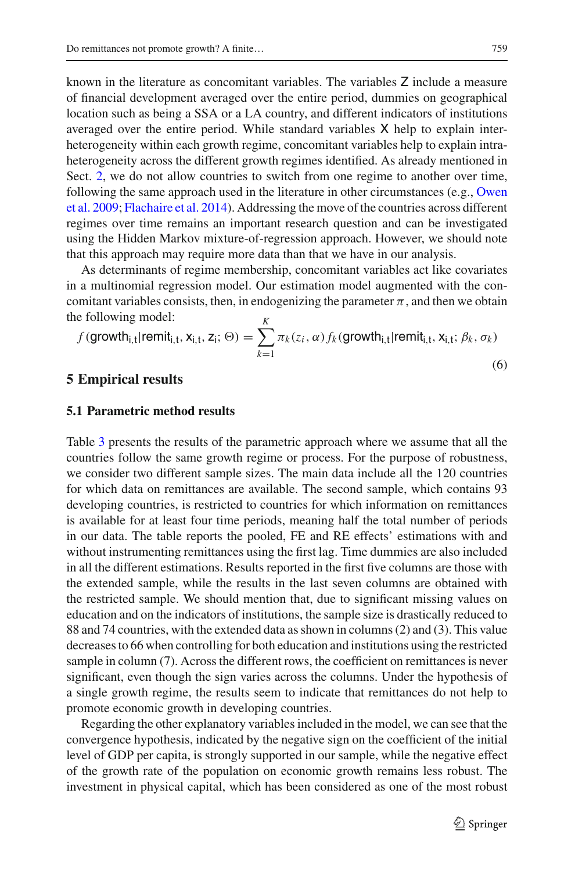known in the literature as concomitant variables. The variables Z include a measure of financial development averaged over the entire period, dummies on geographical location such as being a SSA or a LA country, and different indicators of institutions averaged over the entire period. While standard variables X help to explain interheterogeneity within each growth regime, concomitant variables help to explain intraheterogeneity across the different growth regimes identified. As already mentioned in Sect. [2,](#page-4-0) we do not allow countries to switch from one regime to another over time, foll[owing](#page-36-0) [the](#page-36-0) [same](#page-36-0) [approach](#page-36-0) [used](#page-36-0) [in](#page-36-0) [the](#page-36-0) [literature](#page-36-0) [in](#page-36-0) [other](#page-36-0) [circumstances](#page-36-0) [\(e.g.,](#page-36-0) Owen et al. [2009;](#page-36-0) [Flachaire et al. 2014\)](#page-35-13). Addressing the move of the countries across different regimes over time remains an important research question and can be investigated using the Hidden Markov mixture-of-regression approach. However, we should note that this approach may require more data than that we have in our analysis.

As determinants of regime membership, concomitant variables act like covariates in a multinomial regression model. Our estimation model augmented with the concomitant variables consists, then, in endogenizing the parameter  $\pi$ , and then we obtain the following model: *K*

$$
f(\text{growth}_{i,t}|\text{remit}_{i,t}, \mathbf{x}_{i,t}, \mathbf{z}_i; \Theta) = \sum_{k=1}^{K} \pi_k(z_i, \alpha) f_k(\text{growth}_{i,t}|\text{remit}_{i,t}, \mathbf{x}_{i,t}; \beta_k, \sigma_k)
$$
\n(6)

#### **5 Empirical results**

#### **5.1 Parametric method results**

Table [3](#page-14-0) presents the results of the parametric approach where we assume that all the countries follow the same growth regime or process. For the purpose of robustness, we consider two different sample sizes. The main data include all the 120 countries for which data on remittances are available. The second sample, which contains 93 developing countries, is restricted to countries for which information on remittances is available for at least four time periods, meaning half the total number of periods in our data. The table reports the pooled, FE and RE effects' estimations with and without instrumenting remittances using the first lag. Time dummies are also included in all the different estimations. Results reported in the first five columns are those with the extended sample, while the results in the last seven columns are obtained with the restricted sample. We should mention that, due to significant missing values on education and on the indicators of institutions, the sample size is drastically reduced to 88 and 74 countries, with the extended data as shown in columns (2) and (3). This value decreases to 66 when controlling for both education and institutions using the restricted sample in column (7). Across the different rows, the coefficient on remittances is never significant, even though the sign varies across the columns. Under the hypothesis of a single growth regime, the results seem to indicate that remittances do not help to promote economic growth in developing countries.

Regarding the other explanatory variables included in the model, we can see that the convergence hypothesis, indicated by the negative sign on the coefficient of the initial level of GDP per capita, is strongly supported in our sample, while the negative effect of the growth rate of the population on economic growth remains less robust. The investment in physical capital, which has been considered as one of the most robust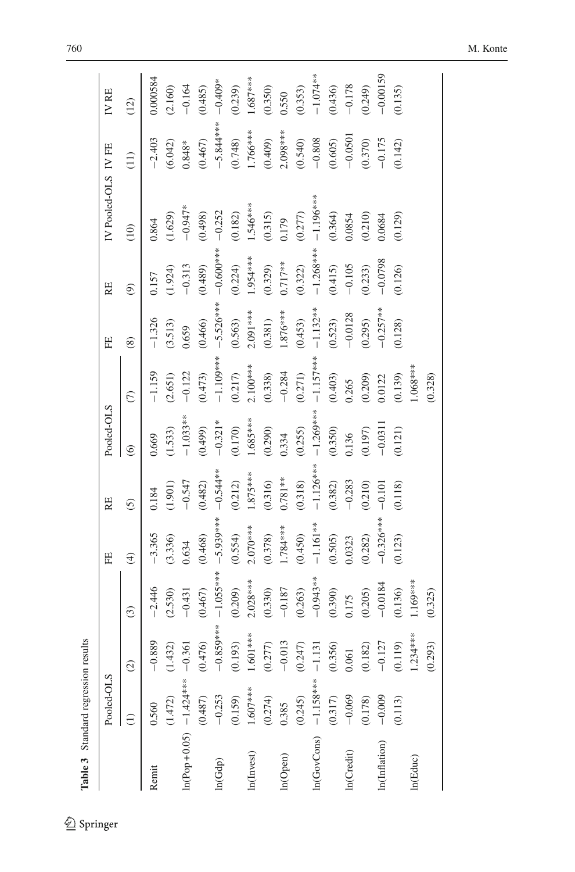| Table 3 Standard regression results |                 |                        |               |             |             |                   |               |             |                          |                     |                                        |            |
|-------------------------------------|-----------------|------------------------|---------------|-------------|-------------|-------------------|---------------|-------------|--------------------------|---------------------|----------------------------------------|------------|
|                                     | Pooled-OLS      |                        |               | Ë           | RE          | Pooled-OLS        |               | Ë           | RE                       | IV Pooled-OLS IV FE |                                        | IV RE      |
|                                     | $\widehat{\Xi}$ | $\widehat{c}$          | $\widehat{c}$ | $\bigoplus$ | $\tilde{c}$ | $\widehat{\circ}$ | $\widehat{C}$ | $\circledS$ | $\widehat{\mathfrak{S}}$ | (10)                | $\begin{pmatrix} 1 \\ 2 \end{pmatrix}$ | (12)       |
| Remit                               | 0.560           | $-0.889$               | $-2.446$      | $-3.365$    | 0.184       | 0.669             | $-1.159$      | $-1.326$    | 0.157                    | 0.864               | $-2.403$                               | 0.000584   |
|                                     | (1.472)         | (1.432)                | (2.530)       | (3.336)     | (1.901)     | (1.533)           | (2.651)       | (3.513)     | (1.924)                  | (1.629)             | (6.042)                                | (2.160)    |
| $ln(Pop+0.05)$ -1.424**** -0.361    |                 |                        | $-0.431$      | 0.634       | $-0.547$    | $-1.033**$        | $-0.122$      | 0.659       | $-0.313$                 | $-0.947*$           | $0.848*$                               | $-0.164$   |
|                                     | (0.487)         | (0.476)                | (0.467)       | (0.468)     | (0.482)     | (664.0)           | (0.473)       | (0.466)     | (0.489)                  | (0.498)             | (0.467)                                | (0.485)    |
| ln(Gdp)                             | $-0.253$        | $-0.859***$            | $-1.055***$   | $-5.939***$ | $-0.544***$ | $-0.321*$         | $-1.109***$   | $-5.526***$ | $-0.600$                 | $-0.252$            | $-5.844***$                            | $-0.409*$  |
|                                     | (0.159)         | (0.193)                | (0.209)       | (0.554)     | (0.212)     | (0.170)           | (0.217)       | (0.563)     | (0.224)                  | (0.182)             | (0.748)                                | (0.239)    |
| In(Invest)                          | $1.607***$      | 1.601 ***              | $2.028***$    | $2.070***$  | $1.875***$  | 1.685****         | $2.100***$    | $2.091***$  | 1.954 ***                | $1.546***$          | 1.766***                               | $1.687***$ |
|                                     | (0.274)         | (0.277)                | (0.330)       | (0.378)     | (0.316)     | (0.290)           | (0.338)       | (0.381)     | (0.329)                  | (0.315)             | (0.409)                                | (0.350)    |
| ln(Open)                            | 0.385           | $-0.013$               | $-0.187$      | $1.784***$  | $0.781**$   | 0.334             | $-0.284$      | $1.876***$  | $0.717**$                | 0.179               | $2.098***$                             | 0.550      |
|                                     | (0.245)         | (0.247)                | (0.263)       | (0.450)     | (0.318)     | (0.255)           | (0.271)       | (0.453)     | (0.322)                  | (0.277)             | (0.540)                                | (0.353)    |
| $ln(GovCons)$ -1.158***             |                 | $-1.131$               | $-0.943**$    | $-1.161**$  | $-1.126***$ | $-1.269***$       | $-1.157***$   | $-1.132***$ | $-1.268***$              | $-1.196***$         | $-0.808$                               | $-1.074**$ |
|                                     | $(0.317)$       | (0.356)                | (0.390)       | (0.505)     | (0.382)     | (0.350)           | (0.403)       | (0.523)     | (0.415)                  | (0.364)             | (0.605)                                | (0.436)    |
| In(Credit)                          | $-0.069$        | 0.061                  | 0.175         | 0.0323      | $-0.283$    | 0.136             | 0.265         | $-0.0128$   | $-0.105$                 | 0.0854              | $-0.0501$                              | $-0.178$   |
|                                     | (0.178)         | 182)<br>$\overline{6}$ | (0.205)       | (0.282)     | (0.210)     | (0.197)           | (0.209)       | (0.295)     | (0.233)                  | (0.210)             | (0.370)                                | (0.249)    |
| In(Inflation)                       | $-0.009$        | $-0.127$               | $-0.0184$     | $-0.326***$ | $-0.101$    | $-0.0311$         | 0.0122        | $-0.257***$ | $-0.0798$                | 0.0684              | $-0.175$                               | $-0.00159$ |
|                                     | (0.113)         | (0.119)                | (0.136)       | (0.123)     | (0.118)     | (0.121)           | (0.139)       | (0.128)     | (0.126)                  | (0.129)             | (0.142)                                | (0.135)    |
| In(Educ)                            |                 | $1.234***$             | $169***$      |             |             |                   | $1.068***$    |             |                          |                     |                                        |            |
|                                     |                 | (0.293)                | (0.325)       |             |             |                   | (0.328)       |             |                          |                     |                                        |            |

<span id="page-14-0"></span> $\underline{\textcircled{\tiny 2}}$  Springer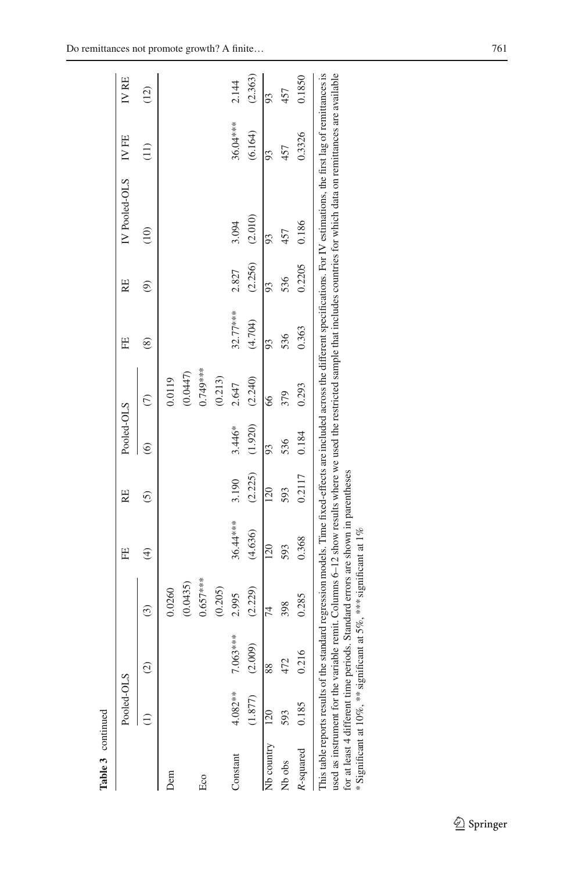|                | Pooled-OLS |                        |            | E                                                                               | RE      | Pooled-OLS |           | 田             | RE             | IV Pooled-OLS                                                                                                                                                                                                                                                                                                                                                          | IV FE    | IV RE   |
|----------------|------------|------------------------|------------|---------------------------------------------------------------------------------|---------|------------|-----------|---------------|----------------|------------------------------------------------------------------------------------------------------------------------------------------------------------------------------------------------------------------------------------------------------------------------------------------------------------------------------------------------------------------------|----------|---------|
|                |            | $\odot$                | ි          | E)                                                                              | 6       | ତି         | E         | $\circledast$ | $\circledcirc$ | (10)                                                                                                                                                                                                                                                                                                                                                                   | Ξ        | (12)    |
| Dem            |            |                        | 0.0260     |                                                                                 |         |            | 0.0119    |               |                |                                                                                                                                                                                                                                                                                                                                                                        |          |         |
|                |            |                        | (0.0435)   |                                                                                 |         |            | (0.0447)  |               |                |                                                                                                                                                                                                                                                                                                                                                                        |          |         |
| Eco            |            |                        | $0.657***$ |                                                                                 |         |            | 0.749**** |               |                |                                                                                                                                                                                                                                                                                                                                                                        |          |         |
|                |            |                        | (0.205)    |                                                                                 |         |            | (0.213)   |               |                |                                                                                                                                                                                                                                                                                                                                                                        |          |         |
| Constant       | $4.082**$  | 7.063***               | 2.995      | 36.44***                                                                        | 3.190   | 3.446*     | 2.647     | 32.77***      | 2.827          | 3.094                                                                                                                                                                                                                                                                                                                                                                  | 36.04*** | 2.144   |
|                | (1.877)    | (2.009)                | (2.229)    | (4.636)                                                                         | (2.225) | (1.920)    | (2.240)   | (4.704)       | (2.256)        | (2.010)                                                                                                                                                                                                                                                                                                                                                                | (6.164)  | (2.363) |
| Nb country 120 |            | 88                     | 74         | 120                                                                             | 120     | 93         | 66        | 93            | 93             | 93                                                                                                                                                                                                                                                                                                                                                                     | 93       | 93      |
| Nb obs         | 593        | 472                    | 398        | 593                                                                             | 593     | 536        | 379       | 536           | 536            | 457                                                                                                                                                                                                                                                                                                                                                                    | 457      | 457     |
| R-squared      | 0.185      | $\overline{6}$<br>0.21 | 0.285      | 0.368                                                                           | 0.2117  | 0.184      | 0.293     | 0.363         | 0.2205         | 0.186                                                                                                                                                                                                                                                                                                                                                                  | 0.3326   | 0.1850  |
|                |            |                        |            | for at least 4 different time periods. Standard errors are shown in parentheses |         |            |           |               |                | used as instrument for the variable remit. Columns 6–12 show results where we used the restricted sample that includes countries for which data on remittances are available<br>This table reports results of the standard regression models. Time fixed-effects are included across the different specifications. For IV estimations, the first lag of remittances is |          |         |

| used as instrument for the variable remit. Columns $0-12$ show results where we used the restricted |                                                                                 |                                                                   |
|-----------------------------------------------------------------------------------------------------|---------------------------------------------------------------------------------|-------------------------------------------------------------------|
|                                                                                                     |                                                                                 |                                                                   |
|                                                                                                     |                                                                                 |                                                                   |
|                                                                                                     |                                                                                 |                                                                   |
|                                                                                                     | for at least 4 different time periods. Standard errors are shown in parentheses |                                                                   |
|                                                                                                     |                                                                                 |                                                                   |
|                                                                                                     |                                                                                 |                                                                   |
|                                                                                                     |                                                                                 |                                                                   |
|                                                                                                     |                                                                                 |                                                                   |
|                                                                                                     |                                                                                 |                                                                   |
|                                                                                                     |                                                                                 | *Significant at 10%, *** significant at 5%, *** significant at 1% |
|                                                                                                     |                                                                                 |                                                                   |
|                                                                                                     |                                                                                 |                                                                   |
|                                                                                                     |                                                                                 |                                                                   |
|                                                                                                     |                                                                                 |                                                                   |
|                                                                                                     |                                                                                 |                                                                   |

 $\underline{\textcircled{\tiny 2}}$  Springer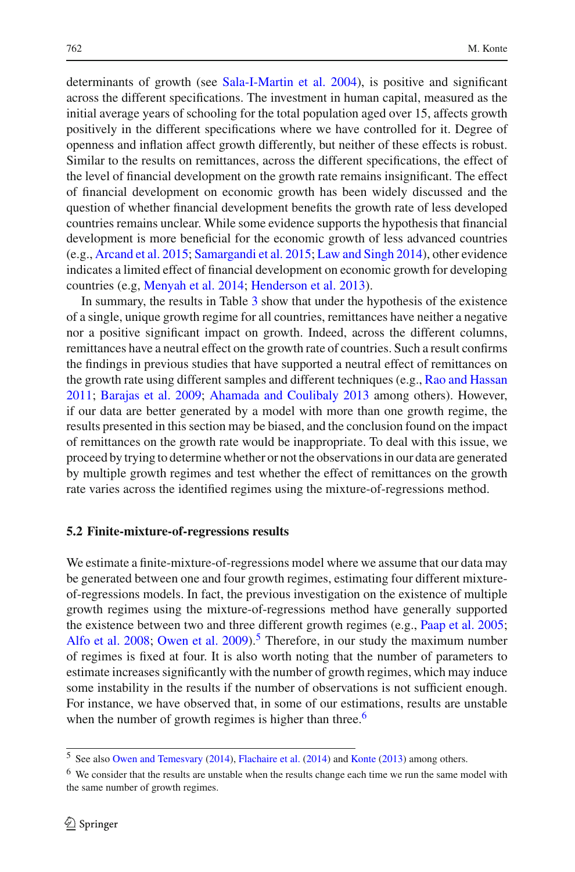determinants of growth (see [Sala-I-Martin et al. 2004\)](#page-36-13), is positive and significant across the different specifications. The investment in human capital, measured as the initial average years of schooling for the total population aged over 15, affects growth positively in the different specifications where we have controlled for it. Degree of openness and inflation affect growth differently, but neither of these effects is robust. Similar to the results on remittances, across the different specifications, the effect of the level of financial development on the growth rate remains insignificant. The effect of financial development on economic growth has been widely discussed and the question of whether financial development benefits the growth rate of less developed countries remains unclear. While some evidence supports the hypothesis that financial development is more beneficial for the economic growth of less advanced countries (e.g., [Arcand et al. 2015](#page-35-26); [Samargandi et al. 2015](#page-36-14); [Law and Singh 2014](#page-35-27)), other evidence indicates a limited effect of financial development on economic growth for developing countries (e.g, [Menyah et al. 2014;](#page-36-15) [Henderson et al. 2013](#page-35-28)).

In summary, the results in Table [3](#page-14-0) show that under the hypothesis of the existence of a single, unique growth regime for all countries, remittances have neither a negative nor a positive significant impact on growth. Indeed, across the different columns, remittances have a neutral effect on the growth rate of countries. Such a result confirms the findings in previous studies that have supported a neutral effect of remittances on the growth rate using different samples and different techniques (e.g., [Rao and Hassan](#page-36-3) [2011;](#page-36-3) [Barajas et al. 2009;](#page-35-10) [Ahamada and Coulibaly 2013](#page-35-11) among others). However, if our data are better generated by a model with more than one growth regime, the results presented in this section may be biased, and the conclusion found on the impact of remittances on the growth rate would be inappropriate. To deal with this issue, we proceed by trying to determine whether or not the observations in our data are generated by multiple growth regimes and test whether the effect of remittances on the growth rate varies across the identified regimes using the mixture-of-regressions method.

#### **5.2 Finite-mixture-of-regressions results**

We estimate a finite-mixture-of-regressions model where we assume that our data may be generated between one and four growth regimes, estimating four different mixtureof-regressions models. In fact, the previous investigation on the existence of multiple growth regimes using the mixture-of-regressions method have generally supported the existence between two and three different growth regimes (e.g., [Paap et al. 2005](#page-36-10); [Alfo et al. 2008;](#page-35-29) [Owen et al. 2009\)](#page-36-0).<sup>[5](#page-16-0)</sup> Therefore, in our study the maximum number of regimes is fixed at four. It is also worth noting that the number of parameters to estimate increases significantly with the number of growth regimes, which may induce some instability in the results if the number of observations is not sufficient enough. For instance, we have observed that, in some of our estimations, results are unstable when the number of growth regimes is higher than three. $6$ 

<sup>5</sup> See also [Owen and Temesvary](#page-36-16) [\(2014\)](#page-36-16), [Flachaire et al.](#page-35-13) [\(2014](#page-35-13)) and [Konte](#page-35-12) [\(2013](#page-35-12)) among others.

<span id="page-16-1"></span><span id="page-16-0"></span><sup>&</sup>lt;sup>6</sup> We consider that the results are unstable when the results change each time we run the same model with the same number of growth regimes.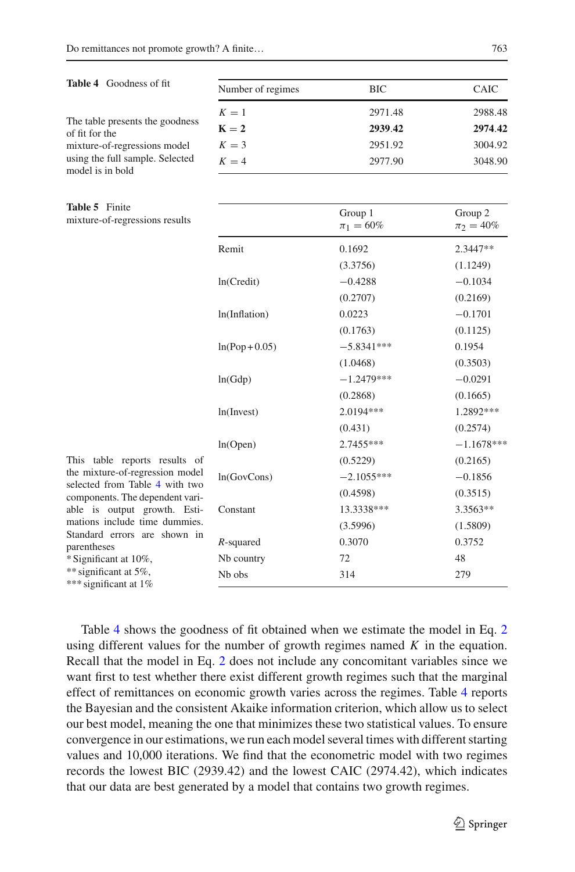#### <span id="page-17-0"></span>**Table 4** Goodness of fit

| Number of regimes | <b>BIC</b> | <b>CAIC</b> |
|-------------------|------------|-------------|
| $K=1$             | 2971.48    | 2988.48     |
| $K = 2$           | 2939.42    | 2974.42     |
| $K=3$             | 2951.92    | 3004.92     |
| $K=4$             | 2977.90    | 3048.90     |
|                   |            |             |

| The table presents the goodness |
|---------------------------------|
| of fit for the                  |
| mixture-of-regressions model    |
| using the full sample. Selected |
| model is in bold                |

The table presents the goodness

## **Table 5** Finite

<span id="page-17-1"></span>mixture-of-regressions results

|                    | Group 1<br>$\pi_1 = 60\%$ | Group 2<br>$\pi_2 = 40\%$ |
|--------------------|---------------------------|---------------------------|
| Remit              | 0.1692                    | 2.3447**                  |
|                    | (3.3756)                  | (1.1249)                  |
| ln(Credit)         | $-0.4288$                 | $-0.1034$                 |
|                    | (0.2707)                  | (0.2169)                  |
| ln(Inflation)      | 0.0223                    | $-0.1701$                 |
|                    | (0.1763)                  | (0.1125)                  |
| $ln(Pop+0.05)$     | $-5.8341***$              | 0.1954                    |
|                    | (1.0468)                  | (0.3503)                  |
| ln(Gdp)            | $-1.2479***$              | $-0.0291$                 |
|                    | (0.2868)                  | (0.1665)                  |
| ln(Invest)         | 2.0194***                 | 1.2892***                 |
|                    | (0.431)                   | (0.2574)                  |
| ln(Open)           | 2.7455***                 | $-1.1678***$              |
|                    | (0.5229)                  | (0.2165)                  |
| ln(GovCons)        | $-2.1055***$              | $-0.1856$                 |
|                    | (0.4598)                  | (0.3515)                  |
| Constant           | 13.3338***                | 3.3563**                  |
|                    | (3.5996)                  | (1.5809)                  |
| $R$ -squared       | 0.3070                    | 0.3752                    |
| Nb country         | 72                        | 48                        |
| N <sub>b</sub> obs | 314                       | 279                       |

This table reports results the mixture-of-regression mo selected from Table [4](#page-17-0) with t components. The dependent va able is output growth. E mations include time dummi Standard errors are shown parentheses \* Significant at 10%, \*\* significant at 5%, \*\*\* significant at 1%

Table [4](#page-17-0) shows the goodness of fit obtained when we estimate the model in Eq. [2](#page-11-0) using different values for the number of growth regimes named *K* in the equation. Recall that the model in Eq. [2](#page-11-0) does not include any concomitant variables since we want first to test whether there exist different growth regimes such that the marginal effect of remittances on economic growth varies across the regimes. Table [4](#page-17-0) reports the Bayesian and the consistent Akaike information criterion, which allow us to select our best model, meaning the one that minimizes these two statistical values. To ensure convergence in our estimations, we run each model several times with different starting values and 10,000 iterations. We find that the econometric model with two regimes records the lowest BIC (2939.42) and the lowest CAIC (2974.42), which indicates that our data are best generated by a model that contains two growth regimes.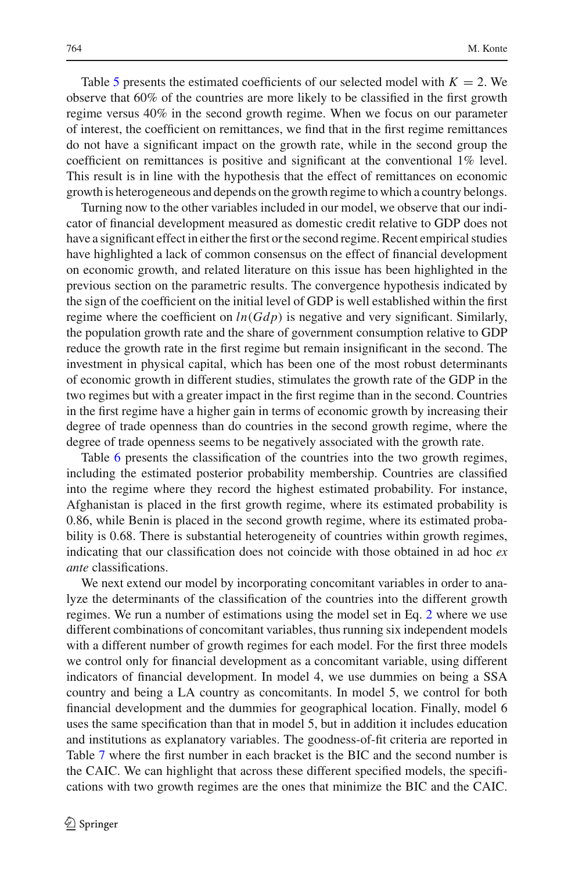Table [5](#page-17-1) presents the estimated coefficients of our selected model with  $K = 2$ . We observe that 60% of the countries are more likely to be classified in the first growth regime versus 40% in the second growth regime. When we focus on our parameter of interest, the coefficient on remittances, we find that in the first regime remittances do not have a significant impact on the growth rate, while in the second group the coefficient on remittances is positive and significant at the conventional 1% level. This result is in line with the hypothesis that the effect of remittances on economic growth is heterogeneous and depends on the growth regime to which a country belongs.

Turning now to the other variables included in our model, we observe that our indicator of financial development measured as domestic credit relative to GDP does not have a significant effect in either the first or the second regime. Recent empirical studies have highlighted a lack of common consensus on the effect of financial development on economic growth, and related literature on this issue has been highlighted in the previous section on the parametric results. The convergence hypothesis indicated by the sign of the coefficient on the initial level of GDP is well established within the first regime where the coefficient on *ln*(*Gdp*) is negative and very significant. Similarly, the population growth rate and the share of government consumption relative to GDP reduce the growth rate in the first regime but remain insignificant in the second. The investment in physical capital, which has been one of the most robust determinants of economic growth in different studies, stimulates the growth rate of the GDP in the two regimes but with a greater impact in the first regime than in the second. Countries in the first regime have a higher gain in terms of economic growth by increasing their degree of trade openness than do countries in the second growth regime, where the degree of trade openness seems to be negatively associated with the growth rate.

Table [6](#page-19-0) presents the classification of the countries into the two growth regimes, including the estimated posterior probability membership. Countries are classified into the regime where they record the highest estimated probability. For instance, Afghanistan is placed in the first growth regime, where its estimated probability is 0.86, while Benin is placed in the second growth regime, where its estimated probability is 0.68. There is substantial heterogeneity of countries within growth regimes, indicating that our classification does not coincide with those obtained in ad hoc *ex ante* classifications.

We next extend our model by incorporating concomitant variables in order to analyze the determinants of the classification of the countries into the different growth regimes. We run a number of estimations using the model set in Eq. [2](#page-11-0) where we use different combinations of concomitant variables, thus running six independent models with a different number of growth regimes for each model. For the first three models we control only for financial development as a concomitant variable, using different indicators of financial development. In model 4, we use dummies on being a SSA country and being a LA country as concomitants. In model 5, we control for both financial development and the dummies for geographical location. Finally, model 6 uses the same specification than that in model 5, but in addition it includes education and institutions as explanatory variables. The goodness-of-fit criteria are reported in Table [7](#page-21-0) where the first number in each bracket is the BIC and the second number is the CAIC. We can highlight that across these different specified models, the specifications with two growth regimes are the ones that minimize the BIC and the CAIC.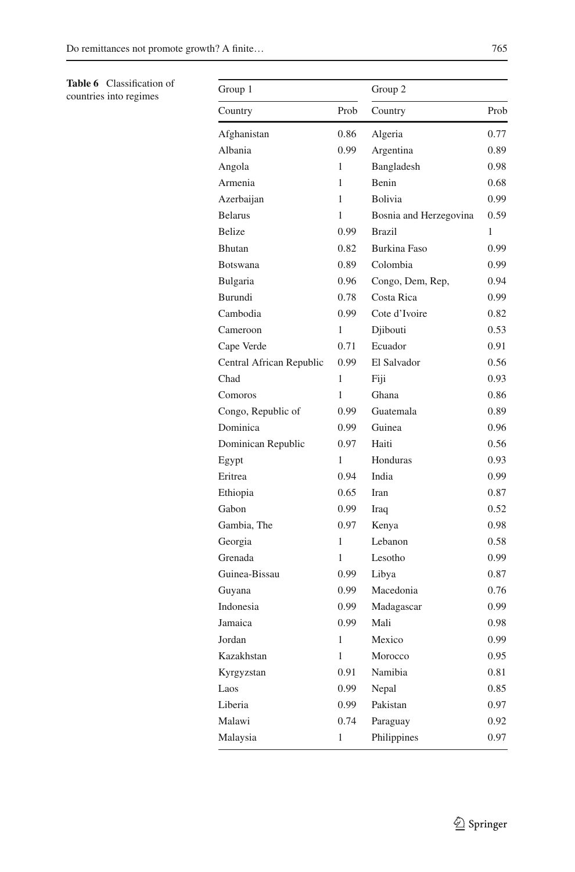<span id="page-19-0"></span>**Table 6** Classification of countries into regimes

| Group 1                  |              | Group 2                |      |
|--------------------------|--------------|------------------------|------|
| Country                  | Prob         | Country                | Prob |
| Afghanistan              | 0.86         | Algeria                | 0.77 |
| Albania                  | 0.99         | Argentina              | 0.89 |
| Angola                   | 1            | Bangladesh             | 0.98 |
| Armenia                  | 1            | Benin                  | 0.68 |
| Azerbaijan               | 1            | Bolivia                | 0.99 |
| <b>Belarus</b>           | 1            | Bosnia and Herzegovina | 0.59 |
| Belize                   | 0.99         | <b>Brazil</b>          | 1    |
| Bhutan                   | 0.82         | <b>Burkina Faso</b>    | 0.99 |
| <b>Botswana</b>          | 0.89         | Colombia               | 0.99 |
| Bulgaria                 | 0.96         | Congo, Dem, Rep,       | 0.94 |
| Burundi                  | 0.78         | Costa Rica             | 0.99 |
| Cambodia                 | 0.99         | Cote d'Ivoire          | 0.82 |
| Cameroon                 | 1            | Djibouti               | 0.53 |
| Cape Verde               | 0.71         | Ecuador                | 0.91 |
| Central African Republic | 0.99         | El Salvador            | 0.56 |
| Chad                     | 1            | Fiji                   | 0.93 |
| Comoros                  | $\mathbf{1}$ | Ghana                  | 0.86 |
| Congo, Republic of       | 0.99         | Guatemala              | 0.89 |
| Dominica                 | 0.99         | Guinea                 | 0.96 |
| Dominican Republic       | 0.97         | Haiti                  | 0.56 |
| Egypt                    | 1            | Honduras               | 0.93 |
| Eritrea                  | 0.94         | India                  | 0.99 |
| Ethiopia                 | 0.65         | Iran                   | 0.87 |
| Gabon                    | 0.99         | Iraq                   | 0.52 |
| Gambia, The              | 0.97         | Kenya                  | 0.98 |
| Georgia                  | 1            | Lebanon                | 0.58 |
| Grenada                  | 1            | Lesotho                | 0.99 |
| Guinea-Bissau            | 0.99         | Libya                  | 0.87 |
| Guyana                   | 0.99         | Macedonia              | 0.76 |
| Indonesia                | 0.99         | Madagascar             | 0.99 |
| Jamaica                  | 0.99         | Mali                   | 0.98 |
| Jordan                   | 1            | Mexico                 | 0.99 |
| Kazakhstan               | 1            | Morocco                | 0.95 |
| Kyrgyzstan               | 0.91         | Namibia                | 0.81 |
| Laos                     | 0.99         | Nepal                  | 0.85 |
| Liberia                  | 0.99         | Pakistan               | 0.97 |
| Malawi                   | 0.74         | Paraguay               | 0.92 |
| Malaysia                 | 1            | Philippines            | 0.97 |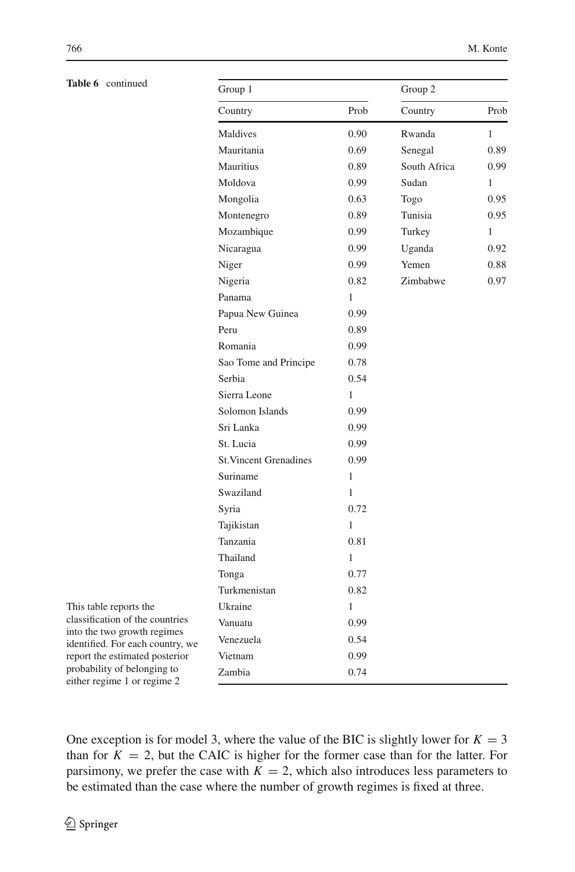| Table 6 | continued |
|---------|-----------|
|---------|-----------|

| Table 6 continued                                               | Group 1                       |      | Group 2      |              |
|-----------------------------------------------------------------|-------------------------------|------|--------------|--------------|
|                                                                 | Country                       | Prob | Country      | Prob         |
|                                                                 | Maldives                      | 0.90 | Rwanda       | $\mathbf{1}$ |
|                                                                 | Mauritania                    | 0.69 | Senegal      | 0.89         |
|                                                                 | Mauritius                     | 0.89 | South Africa | 0.99         |
|                                                                 | Moldova                       | 0.99 | Sudan        | $\mathbf{1}$ |
|                                                                 | Mongolia                      | 0.63 | Togo         | 0.95         |
|                                                                 | Montenegro                    | 0.89 | Tunisia      | 0.95         |
|                                                                 | Mozambique                    | 0.99 | Turkey       | $\mathbf{1}$ |
|                                                                 | Nicaragua                     | 0.99 | Uganda       | 0.92         |
|                                                                 | Niger                         | 0.99 | Yemen        | 0.88         |
|                                                                 | Nigeria                       | 0.82 | Zimbabwe     | 0.97         |
|                                                                 | Panama                        | 1    |              |              |
|                                                                 | Papua New Guinea              | 0.99 |              |              |
|                                                                 | Peru                          | 0.89 |              |              |
|                                                                 | Romania                       | 0.99 |              |              |
|                                                                 | Sao Tome and Principe         | 0.78 |              |              |
|                                                                 | Serbia                        | 0.54 |              |              |
|                                                                 | Sierra Leone                  | 1    |              |              |
|                                                                 | Solomon Islands               | 0.99 |              |              |
|                                                                 | Sri Lanka                     | 0.99 |              |              |
|                                                                 | St. Lucia                     | 0.99 |              |              |
|                                                                 | <b>St. Vincent Grenadines</b> | 0.99 |              |              |
|                                                                 | Suriname                      | 1    |              |              |
|                                                                 | Swaziland                     | 1    |              |              |
|                                                                 | Syria                         | 0.72 |              |              |
|                                                                 | Tajikistan                    | 1    |              |              |
|                                                                 | Tanzania                      | 0.81 |              |              |
|                                                                 | Thailand                      | 1    |              |              |
|                                                                 | Tonga                         | 0.77 |              |              |
|                                                                 | Turkmenistan                  | 0.82 |              |              |
| This table reports the                                          | Ukraine                       | 1    |              |              |
| classification of the countries                                 | Vanuatu                       | 0.99 |              |              |
| into the two growth regimes<br>identified. For each country, we | Venezuela                     | 0.54 |              |              |
| report the estimated posterior                                  | Vietnam                       | 0.99 |              |              |
| probability of belonging to<br>either regime 1 or regime 2      | Zambia                        | 0.74 |              |              |

One exception is for model 3, where the value of the BIC is slightly lower for  $K = 3$ than for  $K = 2$ , but the CAIC is higher for the former case than for the latter. For parsimony, we prefer the case with  $K = 2$ , which also introduces less parameters to be estimated than the case where the number of growth regimes is fixed at three.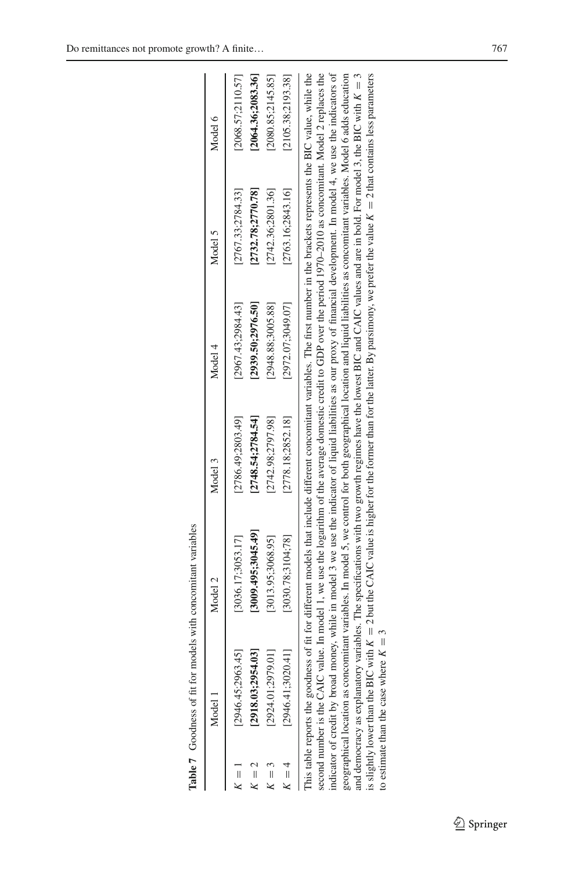|         | <b>Table 7</b> Goodness of fit for models with concomitant variables |                                                                                                                                                                                |                    |                   |                    |                    |
|---------|----------------------------------------------------------------------|--------------------------------------------------------------------------------------------------------------------------------------------------------------------------------|--------------------|-------------------|--------------------|--------------------|
|         | Model 1                                                              | Model 2                                                                                                                                                                        | Model 3            | Model 4           | Model 5            | Model 6            |
| $K = 1$ | [2946.45; 2963.45]                                                   | [3036.17:3053.17]                                                                                                                                                              | [2786.49:2803.49]  | [2967.43:2984.43] | [2767.33:2784.33]  | [2068.57;2110.57]  |
| $K = 2$ | [2918.03; 2954.03]                                                   | [3009.495:3045.49]                                                                                                                                                             | [2748.54:2784.54]  | [2939.50:2976.50] | [2732.78; 2770.78] | [2064.36;2083.36]  |
| $K=3$   | [2924.01; 2979.01]                                                   | [3013.95;3068.95]                                                                                                                                                              | [2742.98, 2797.98] | [2948.88:3005.88] | [2742.36;2801.36]  | [2080.85:2145.85]  |
| $K = 4$ | [2946.41;3020.41]                                                    | [3030.78, 3104, 78]                                                                                                                                                            | [2778.18; 2852.18] | [2972.07;3049.07] | [2763.16;2843.16]  | [2105.38; 2193.38] |
|         |                                                                      | This table reports the goodness of fit for different models that include different concomitant variables. The first number in the brackets represents the BIC value, while the |                    |                   |                    |                    |
|         |                                                                      | second number is the CAIC value. In model 1, we use the logarithm of the average domestic credit to GDP over the period 1970-2010 as concomitant. Model 2 replaces the         |                    |                   |                    |                    |
|         |                                                                      | indicator of credit by broad money, while in model 3 we use the indicator of liquid liabilities as our proxy of financial development. In model 4, we use the indicators of    |                    |                   |                    |                    |
|         |                                                                      | geographical location as concomitant variables. In model 5, we control for both geographical location and liquid liabilities as concomitant variables. Model 6 adds education  |                    |                   |                    |                    |
|         |                                                                      | and democracy as explanatory variables. The specifications with two growth regimes have the lowest BIC and CAIC values and are in bold. For model 3, the BIC with $K = 3$      |                    |                   |                    |                    |

<span id="page-21-0"></span>is slightly lower than the BIC with

to estimate than the case where

*K*

*K*  $\frac{3}{2}$ 

 $= 2$  but the CAIC value is higher for the former than for the latter. By parsimony, we prefer the value

*K*

2 that contains less parameters

 $\sim$  $\sim$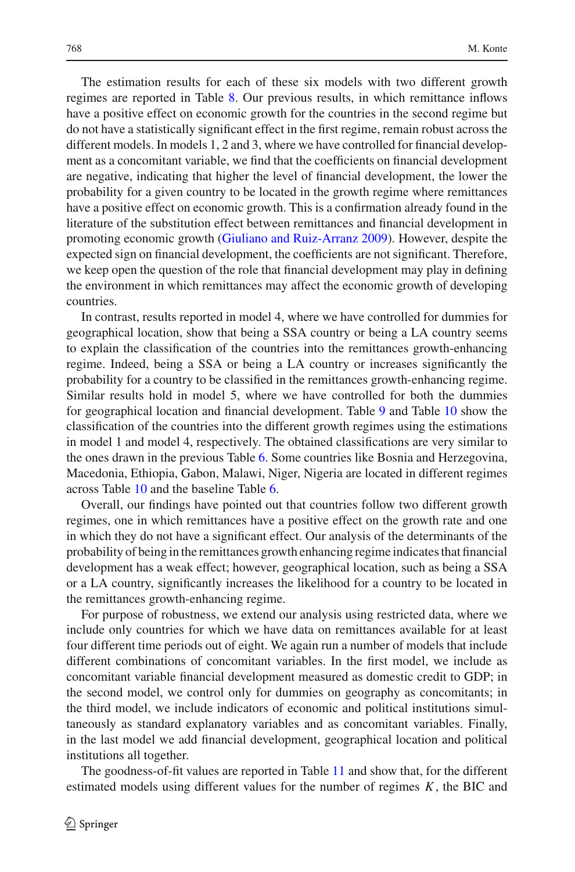The estimation results for each of these six models with two different growth regimes are reported in Table [8.](#page-23-0) Our previous results, in which remittance inflows have a positive effect on economic growth for the countries in the second regime but do not have a statistically significant effect in the first regime, remain robust across the different models. In models 1, 2 and 3, where we have controlled for financial development as a concomitant variable, we find that the coefficients on financial development are negative, indicating that higher the level of financial development, the lower the probability for a given country to be located in the growth regime where remittances have a positive effect on economic growth. This is a confirmation already found in the literature of the substitution effect between remittances and financial development in promoting economic growth [\(Giuliano and Ruiz-Arranz 2009](#page-35-2)). However, despite the expected sign on financial development, the coefficients are not significant. Therefore, we keep open the question of the role that financial development may play in defining the environment in which remittances may affect the economic growth of developing countries.

In contrast, results reported in model 4, where we have controlled for dummies for geographical location, show that being a SSA country or being a LA country seems to explain the classification of the countries into the remittances growth-enhancing regime. Indeed, being a SSA or being a LA country or increases significantly the probability for a country to be classified in the remittances growth-enhancing regime. Similar results hold in model 5, where we have controlled for both the dummies for geographical location and financial development. Table [9](#page-27-0) and Table [10](#page-29-0) show the classification of the countries into the different growth regimes using the estimations in model 1 and model 4, respectively. The obtained classifications are very similar to the ones drawn in the previous Table [6.](#page-19-0) Some countries like Bosnia and Herzegovina, Macedonia, Ethiopia, Gabon, Malawi, Niger, Nigeria are located in different regimes across Table [10](#page-29-0) and the baseline Table [6.](#page-19-0)

Overall, our findings have pointed out that countries follow two different growth regimes, one in which remittances have a positive effect on the growth rate and one in which they do not have a significant effect. Our analysis of the determinants of the probability of being in the remittances growth enhancing regime indicates that financial development has a weak effect; however, geographical location, such as being a SSA or a LA country, significantly increases the likelihood for a country to be located in the remittances growth-enhancing regime.

For purpose of robustness, we extend our analysis using restricted data, where we include only countries for which we have data on remittances available for at least four different time periods out of eight. We again run a number of models that include different combinations of concomitant variables. In the first model, we include as concomitant variable financial development measured as domestic credit to GDP; in the second model, we control only for dummies on geography as concomitants; in the third model, we include indicators of economic and political institutions simultaneously as standard explanatory variables and as concomitant variables. Finally, in the last model we add financial development, geographical location and political institutions all together.

The goodness-of-fit values are reported in Table [11](#page-31-0) and show that, for the different estimated models using different values for the number of regimes *K*, the BIC and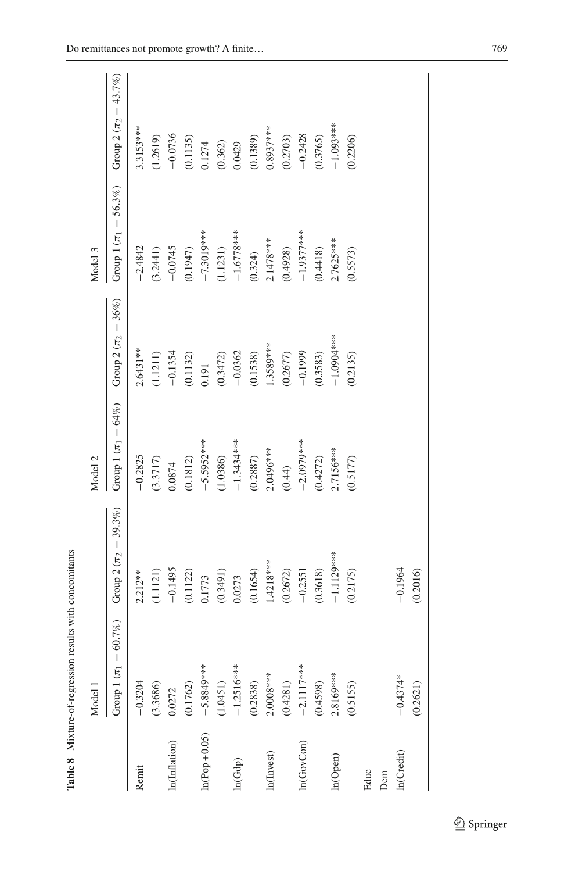|                | Model 1                     |                            | Model 2                  |                                     | Model 3                      |                            |
|----------------|-----------------------------|----------------------------|--------------------------|-------------------------------------|------------------------------|----------------------------|
|                | 60.7%)<br>Group $1(\pi_1 =$ | Group $2 (\pi_2 = 39.3\%)$ | Group $1 (\pi_1 = 64\%)$ | Group 2 ( $\pi$ <sub>2</sub> = 36%) | Group 1 ( $\pi_1 = 56.3\%$ ) | Group $2 (\pi_2 = 43.7\%)$ |
| Remit          | $-0.3204$                   | $2.212**$                  | $-0.2825$                | $2.6431***$                         | $-2.4842$                    | 3.3153***                  |
|                | (3.3686)                    | (1.1121)                   | (3.3717)                 | (1.1211)                            | (3.2441)                     | (1.2619)                   |
| In(Inflation)  | 0.0272                      | $-0.1495$                  | 0.0874                   | $-0.1354$                           | $-0.0745$                    | $-0.0736$                  |
|                | (0.1762)                    | (0.1122)                   | (0.1812)                 | (0.1132)                            | (0.1947)                     | (0.1135)                   |
| $ln(Pop+0.05)$ | $-5.8849***$                | 0.1773                     | $-5.5952***$             | 0.191                               | $-7.3019***$                 | 0.1274                     |
|                | (1.0451)                    | (0.3491)                   | (1.0386)                 | (0.3472)                            | (1.1231)                     | (0.362)                    |
| ln(Gdp)        | $-1.2516***$                | 0.0273                     | $-1.3434***$             | $-0.0362$                           | $-1.6778***$                 | 0.0429                     |
|                | (0.2838)                    | (0.1654)                   | (0.2887)                 | (0.1538)                            | (0.324)                      | (0.1389)                   |
| In(Invest)     | $2.0008***$                 | $1.4218***$                | 2.0496***                | 1.3589***                           | 2.1478***                    | $0.8937***$                |
|                | (0.4281)                    | (0.2672)                   | (0.44)                   | (0.2677)                            | (0.4928)                     | (0.2703)                   |
| ln(GovCon)     | $-2.1117***$                | $-0.2551$                  | $-2.0979***$             | $-0.1999$                           | $-1.9377$ ***                | $-0.2428$                  |
|                | (0.4598)                    | (0.3618)                   | (0.4272)                 | (0.3583)                            | (0.4418)                     | (0.3765)                   |
| In(Open)       | $2.8169***$                 | $-1.1129***$               | $2.7156***$              | $-1.0001$                           | $2.7625***$                  | $-1.093***$                |
|                | (0.5155)                    | (0.2175)                   | (0.5177)                 | (0.2135)                            | (0.5573)                     | (0.2206)                   |
| Educ           |                             |                            |                          |                                     |                              |                            |
| Dem            |                             |                            |                          |                                     |                              |                            |
| In(Credit)     | $-0.4374*$                  | $-0.1964$                  |                          |                                     |                              |                            |
|                | (0.2621)                    | (0.2016)                   |                          |                                     |                              |                            |

<span id="page-23-0"></span>Table 8 Mixture-of-regression results with concomitants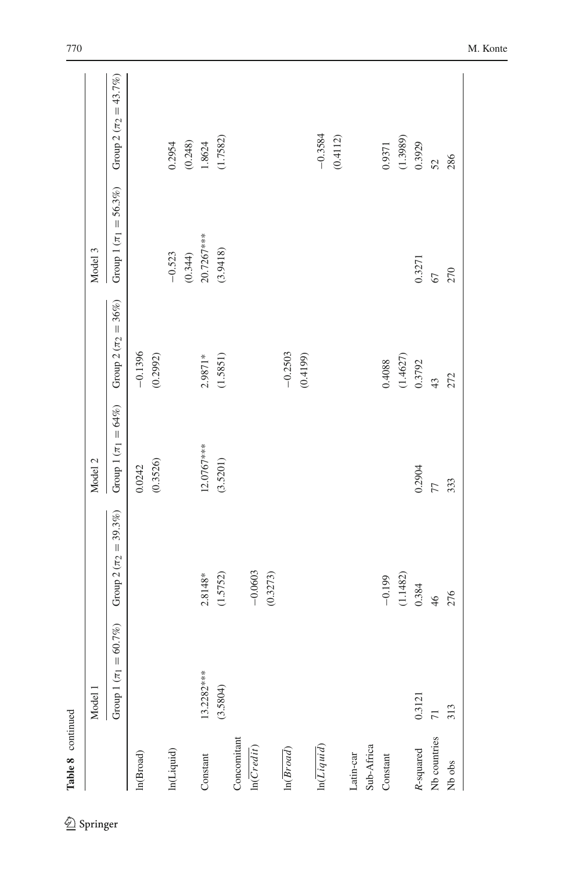| Group 1 $(\pi_1 =$<br>13.2282***<br>(3.5804)<br>Model 1<br>Concomitant<br>ln(Liquid)<br>ln(Creatit)<br>ln(Broad)<br>In(Liquid)<br>ln(Broad)<br>Constant |        |                            |                            |                                     |                              |                                       |
|---------------------------------------------------------------------------------------------------------------------------------------------------------|--------|----------------------------|----------------------------|-------------------------------------|------------------------------|---------------------------------------|
|                                                                                                                                                         |        |                            | Model 2                    |                                     | Model 3                      |                                       |
|                                                                                                                                                         | 60.7%) | Group $2 (\pi_2 = 39.3\%)$ | Group 1 ( $\pi_1 = 64\%$ ) | Group 2 ( $\pi$ <sub>2</sub> = 36%) | Group 1 ( $\pi_1 = 56.3\%$ ) | Group 2 ( $\pi$ <sub>2</sub> = 43.7%) |
|                                                                                                                                                         |        |                            | 0.0242                     | $-0.1396$                           |                              |                                       |
|                                                                                                                                                         |        |                            | (0.3526)                   | (0.2992)                            |                              |                                       |
|                                                                                                                                                         |        |                            |                            |                                     | $-0.523$                     | 0.2954                                |
|                                                                                                                                                         |        |                            |                            |                                     | $(0.344)$<br>20.7267***      | (0.248)                               |
|                                                                                                                                                         |        | $2.8148*$                  | 12.0767***                 | 2.9871*                             |                              | 1.8624                                |
|                                                                                                                                                         |        | (1.5752)                   | (3.5201)                   | (1.5851)                            | (3.9418)                     | (1.7582)                              |
|                                                                                                                                                         |        |                            |                            |                                     |                              |                                       |
|                                                                                                                                                         |        | $-0.0603$                  |                            |                                     |                              |                                       |
|                                                                                                                                                         |        | (0.3273)                   |                            |                                     |                              |                                       |
|                                                                                                                                                         |        |                            |                            | $-0.2503$                           |                              |                                       |
|                                                                                                                                                         |        |                            |                            | (0.4199)                            |                              |                                       |
|                                                                                                                                                         |        |                            |                            |                                     |                              | $-0.3584$                             |
|                                                                                                                                                         |        |                            |                            |                                     |                              | (0.4112)                              |
| Latin-car                                                                                                                                               |        |                            |                            |                                     |                              |                                       |
| Sub-Africa                                                                                                                                              |        |                            |                            |                                     |                              |                                       |
| Constant                                                                                                                                                |        | $-0.199$                   |                            | 0.4088                              |                              | 0.9371                                |
|                                                                                                                                                         |        | (1.1482)                   |                            | $(1.4627)$<br>0.3792                |                              | (1.3989)                              |
| 0.3121<br>R-squared                                                                                                                                     |        | 0.384                      | 0.2904                     |                                     | 0.3271                       | 0.3929                                |
| $\overline{7}$<br>Nb countries                                                                                                                          |        | 46                         | 77                         | 43                                  | 67                           | 52<br>286                             |
| 313<br>Nb obs                                                                                                                                           |        | 276                        | 333                        | 272                                 | 270                          |                                       |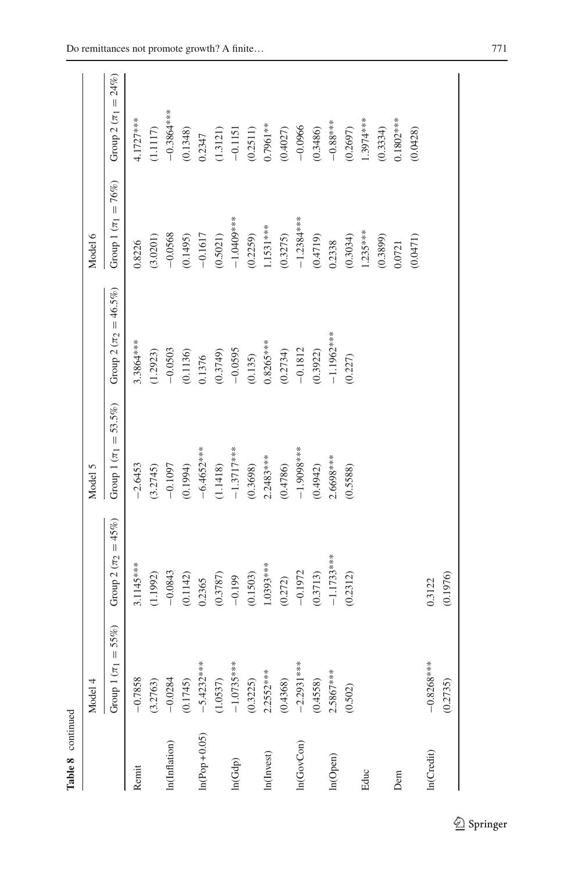| Table 8 continued |                            |                            |                              |                              |                            |                            |
|-------------------|----------------------------|----------------------------|------------------------------|------------------------------|----------------------------|----------------------------|
|                   | Model 4                    |                            | Model 5                      |                              | Model 6                    |                            |
|                   | $=55%$<br>Group 1 $(\pi_1$ | Group 2 ( $\pi_2 = 45\%$ ) | Group 1 ( $\pi_1 = 53.5\%$ ) | Group 2 ( $\pi_2 = 46.5\%$ ) | Group 1 ( $\pi_1 = 76\%$ ) | Group 2 ( $\pi_1 = 24\%$ ) |
| Remit             | $-0.7858$                  | 3.1145***                  | $-2.6453$                    | 3.3864***                    | 0.8226                     | 4.1727***                  |
|                   | (3.2763)                   | (1.1992)                   | (3.2745)                     | (1.2923)                     | (3.0201)                   | (1.1117)                   |
| In(Inflation)     | $-0.0284$                  | $-0.0843$                  | $-0.1097$                    | $-0.0503$                    | $-0.0568$                  | $-0.3864***$               |
|                   | (0.1745)                   | (0.1142)                   | (0.1994)                     | (0.1136)                     | (0.1495)                   | (0.1348)                   |
| $ln(Pop+0.05)$    | $-5.4232***$               | 0.2365                     | $-6.4652***$                 | 0.1376                       | $-0.1617$                  | 0.2347                     |
|                   | (1.0537)                   | (0.3787)                   | (1.1418)                     | (0.3749)                     | (0.5021)                   | (1.3121)                   |
| ln(Gdp)           | $-1.0735***$               | $-0.199$                   | $-1.3717***$                 | $-0.0595$                    | $-1.0409***$               | $-0.1151$                  |
|                   | (0.3225)                   | (0.1503)                   | (0.3698)                     | (0.135)                      | (0.2259)                   | (0.2511)                   |
| In(Invest)        | $2.2552***$                | $1.0393***$                | $2.2483***$                  | $0.8265***$                  | $1.1531***$                | $0.7961***$                |
|                   | (0.4368)                   | (0.272)                    | (0.4786)                     | (0.2734)                     | (0.3275)                   | (0.4027)                   |
| ln(GovCon)        | $-2.2931***$               | $-0.1972$                  | $-1.9098***$                 | $-0.1812$                    | $-1.2384***$               | $-0.0966$                  |
|                   | (0.4558)                   | (0.3713)                   | (0.4942)                     | (0.3922)                     | (0.4719)                   | (0.3486)                   |
| In(Open)          | $2.5867***$                | $-1.1733***$               | 1.6698***                    | $-1.1962***$                 | 0.2338                     | $-0.88***$                 |
|                   | (0.502)                    | (0.2312)                   | (0.5588)                     | (0.227)                      | (0.3034)                   | (0.2697)                   |
| Educ              |                            |                            |                              |                              | $1.235***$                 | 1.3974***                  |
|                   |                            |                            |                              |                              | (0.3899)                   | (0.3334)                   |
| Dem               |                            |                            |                              |                              | 0.0721                     | $0.1802***$                |
|                   |                            |                            |                              |                              | (0.0471)                   | (0.0428)                   |
| In(Credit)        | $-0.8268***$               | 0.3122                     |                              |                              |                            |                            |
|                   | (0.2735)                   | (0.1976)                   |                              |                              |                            |                            |
|                   |                            |                            |                              |                              |                            |                            |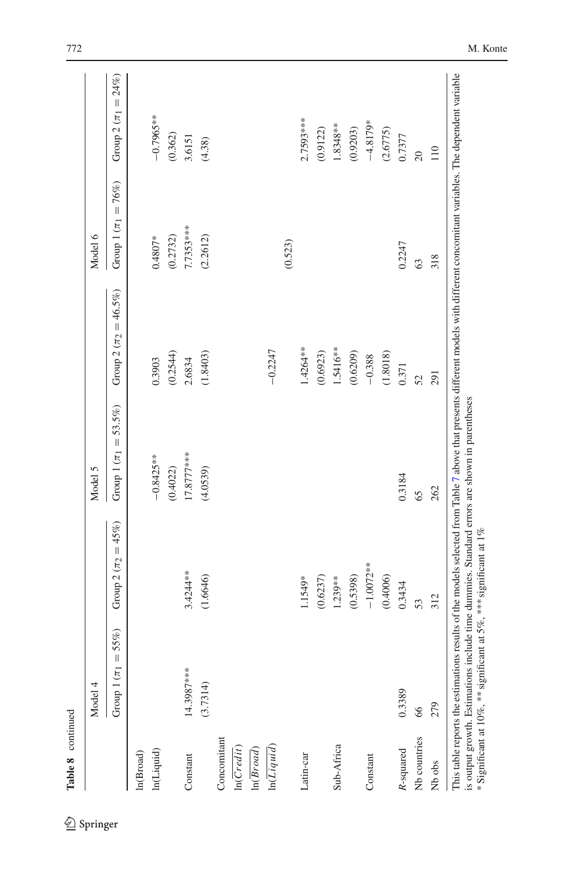|                         | Model 4                    |                         | Model 5                         |                                       | Model 6                    |                            |
|-------------------------|----------------------------|-------------------------|---------------------------------|---------------------------------------|----------------------------|----------------------------|
|                         | 55%)<br>Group 1 $(\pi_1 =$ | Group $2(\pi_2 = 45\%)$ | $= 53.5\%$<br>Group 1 $(\pi_1)$ | Group 2 ( $\pi$ <sub>2</sub> = 46.5%) | Group 1 ( $\pi_1 = 76\%$ ) | Group 2 ( $\pi_1 = 24\%$ ) |
| ln(Broad)               |                            |                         |                                 |                                       |                            |                            |
| In(Liquid)              |                            |                         | $-0.8425***$                    | 0.3903                                | $0.4807*$                  | $-0.7965***$               |
|                         |                            |                         | (0.4022)                        | (0.2544)                              | (0.2732)                   | (0.362)                    |
| Constant                | 14.3987***                 | $3.4244**$              | 17.8777***                      | 2.6834                                | 7.7353***                  | 3.6151                     |
|                         | (3.7314)                   | (1.6646)                | (4.0539)                        | (1.8403)                              | (2.2612)                   | (4.38)                     |
| Concomitant             |                            |                         |                                 |                                       |                            |                            |
| ln(Credit)              |                            |                         |                                 |                                       |                            |                            |
| ln(Broad)               |                            |                         |                                 |                                       |                            |                            |
| $ln(\overline{Liquid})$ |                            |                         |                                 | $-0.2247$                             |                            |                            |
|                         |                            |                         |                                 |                                       | (0.523)                    |                            |
| Latin-car               |                            | 1.1549*                 |                                 | 1.4264**                              |                            | 2.7593***                  |
|                         |                            | (0.6237)                |                                 | (0.6923)                              |                            | (0.9122)                   |
| Sub-Africa              |                            | 1.239**                 |                                 | 1.5416**                              |                            | 1.8348**                   |
|                         |                            | (0.5398)                |                                 | (0.6209)                              |                            | (0.9203)                   |
| Constant                |                            | $-1.0072**$             |                                 | $-0.388$                              |                            | $-4.8179*$                 |
|                         |                            | (0.4006)                |                                 | (1.8018)                              |                            | (2.6775)                   |
| R-squared               | 0.3389                     | 0.3434                  | 0.3184                          | 0.371                                 | 0.2247                     | 0.7377                     |
| Nb countries            | 66                         | 53                      | 65                              | 52                                    | 63                         | $\overline{20}$            |
| Nb obs                  | 279                        | 312                     | 262                             | 291                                   | 318                        | 110                        |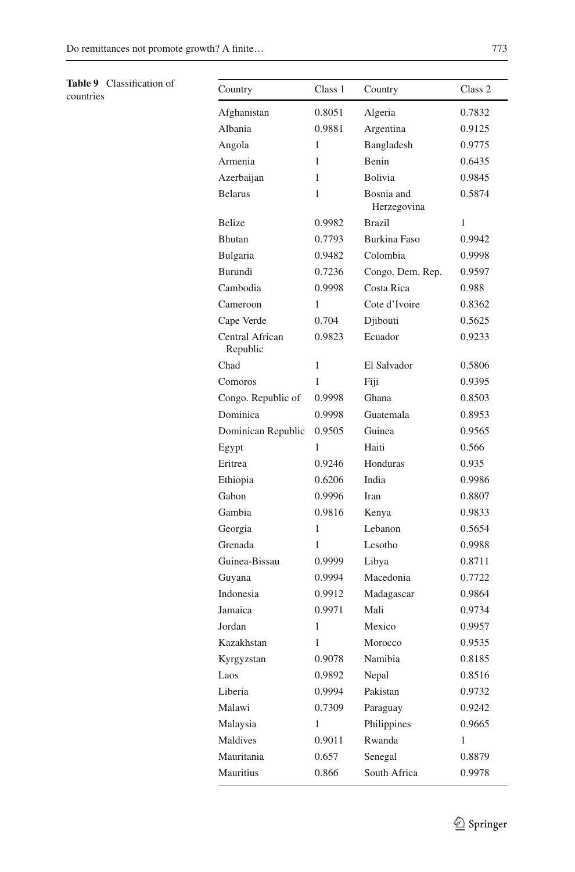**Table 9** Classification of

<span id="page-27-0"></span>

| Table 9 Classification of<br>countries | Country                     | Class 1      | Country                   | Class 2 |
|----------------------------------------|-----------------------------|--------------|---------------------------|---------|
|                                        | Afghanistan                 | 0.8051       | Algeria                   | 0.7832  |
|                                        | Albania                     | 0.9881       | Argentina                 | 0.9125  |
|                                        | Angola                      | 1            | Bangladesh                | 0.9775  |
|                                        | Armenia                     | 1            | Benin                     | 0.6435  |
|                                        | Azerbaijan                  | $\mathbf{1}$ | Bolivia                   | 0.9845  |
|                                        | <b>Belarus</b>              | 1            | Bosnia and<br>Herzegovina | 0.5874  |
|                                        | <b>Belize</b>               | 0.9982       | <b>Brazil</b>             | 1       |
|                                        | Bhutan                      | 0.7793       | <b>Burkina Faso</b>       | 0.9942  |
|                                        | Bulgaria                    | 0.9482       | Colombia                  | 0.9998  |
|                                        | Burundi                     | 0.7236       | Congo. Dem. Rep.          | 0.9597  |
|                                        | Cambodia                    | 0.9998       | Costa Rica                | 0.988   |
|                                        | Cameroon                    | 1            | Cote d'Ivoire             | 0.8362  |
|                                        | Cape Verde                  | 0.704        | Djibouti                  | 0.5625  |
|                                        | Central African<br>Republic | 0.9823       | Ecuador                   | 0.9233  |
|                                        | Chad                        | 1            | El Salvador               | 0.5806  |
|                                        | Comoros                     | $\mathbf{1}$ | Fiji                      | 0.9395  |
|                                        | Congo. Republic of          | 0.9998       | Ghana                     | 0.8503  |
|                                        | Dominica                    | 0.9998       | Guatemala                 | 0.8953  |
|                                        | Dominican Republic          | 0.9505       | Guinea                    | 0.9565  |
|                                        | Egypt                       | 1            | Haiti                     | 0.566   |
|                                        | Eritrea                     | 0.9246       | Honduras                  | 0.935   |
|                                        | Ethiopia                    | 0.6206       | India                     | 0.9986  |
|                                        | Gabon                       | 0.9996       | Iran                      | 0.8807  |
|                                        | Gambia                      | 0.9816       | Kenya                     | 0.9833  |
|                                        | Georgia                     | $\mathbf{1}$ | Lebanon                   | 0.5654  |
|                                        | Grenada                     | 1            | Lesotho                   | 0.9988  |
|                                        | Guinea-Bissau               | 0.9999       | Libya                     | 0.8711  |
|                                        | Guyana                      | 0.9994       | Macedonia                 | 0.7722  |
|                                        | Indonesia                   | 0.9912       | Madagascar                | 0.9864  |
|                                        | Jamaica                     | 0.9971       | Mali                      | 0.9734  |
|                                        | Jordan                      | 1            | Mexico                    | 0.9957  |
|                                        | Kazakhstan                  | 1            | Morocco                   | 0.9535  |
|                                        | Kyrgyzstan                  | 0.9078       | Namibia                   | 0.8185  |
|                                        | Laos                        | 0.9892       | Nepal                     | 0.8516  |
|                                        | Liberia                     | 0.9994       | Pakistan                  | 0.9732  |
|                                        | Malawi                      | 0.7309       | Paraguay                  | 0.9242  |
|                                        | Malaysia                    | $\mathbf{1}$ | Philippines               | 0.9665  |
|                                        | Maldives                    | 0.9011       | Rwanda                    | 1       |
|                                        | Mauritania                  | 0.657        | Senegal                   | 0.8879  |
|                                        | Mauritius                   | 0.866        | South Africa              | 0.9978  |
|                                        |                             |              |                           |         |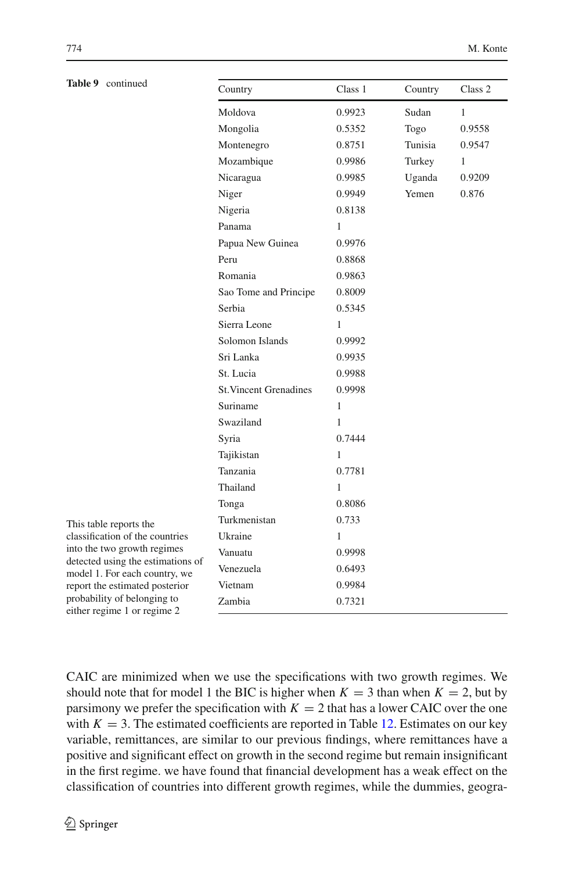| Table 9 continued                                                  | Country                       | Class 1      | Country | Class 2      |
|--------------------------------------------------------------------|-------------------------------|--------------|---------|--------------|
|                                                                    | Moldova                       | 0.9923       | Sudan   | $\mathbf{1}$ |
|                                                                    | Mongolia                      | 0.5352       | Togo    | 0.9558       |
|                                                                    | Montenegro                    | 0.8751       | Tunisia | 0.9547       |
|                                                                    | Mozambique                    | 0.9986       | Turkey  | $\mathbf{1}$ |
|                                                                    | Nicaragua                     | 0.9985       | Uganda  | 0.9209       |
|                                                                    | Niger                         | 0.9949       | Yemen   | 0.876        |
|                                                                    | Nigeria                       | 0.8138       |         |              |
|                                                                    | Panama                        | 1            |         |              |
|                                                                    | Papua New Guinea              | 0.9976       |         |              |
|                                                                    | Peru                          | 0.8868       |         |              |
|                                                                    | Romania                       | 0.9863       |         |              |
|                                                                    | Sao Tome and Principe         | 0.8009       |         |              |
|                                                                    | Serbia                        | 0.5345       |         |              |
|                                                                    | Sierra Leone                  | 1            |         |              |
|                                                                    | Solomon Islands               | 0.9992       |         |              |
|                                                                    | Sri Lanka                     | 0.9935       |         |              |
|                                                                    | St. Lucia                     | 0.9988       |         |              |
|                                                                    | <b>St. Vincent Grenadines</b> | 0.9998       |         |              |
|                                                                    | Suriname                      | $\mathbf{1}$ |         |              |
|                                                                    | Swaziland                     | 1            |         |              |
|                                                                    | Syria                         | 0.7444       |         |              |
|                                                                    | Tajikistan                    | 1            |         |              |
|                                                                    | Tanzania                      | 0.7781       |         |              |
|                                                                    | Thailand                      | 1            |         |              |
|                                                                    | Tonga                         | 0.8086       |         |              |
| This table reports the                                             | Turkmenistan                  | 0.733        |         |              |
| classification of the countries                                    | Ukraine                       | 1            |         |              |
| into the two growth regimes                                        | Vanuatu                       | 0.9998       |         |              |
| detected using the estimations of<br>model 1. For each country, we | Venezuela                     | 0.6493       |         |              |
| report the estimated posterior                                     | Vietnam                       | 0.9984       |         |              |
| probability of belonging to<br>either regime 1 or regime 2         | Zambia                        | 0.7321       |         |              |
|                                                                    |                               |              |         |              |

CAIC are minimized when we use the specifications with two growth regimes. We should note that for model 1 the BIC is higher when  $K = 3$  than when  $K = 2$ , but by parsimony we prefer the specification with  $K = 2$  that has a lower CAIC over the one with  $K = 3$ . The estimated coefficients are reported in Table [12.](#page-32-0) Estimates on our key variable, remittances, are similar to our previous findings, where remittances have a positive and significant effect on growth in the second regime but remain insignificant in the first regime. we have found that financial development has a weak effect on the classification of countries into different growth regimes, while the dummies, geogra-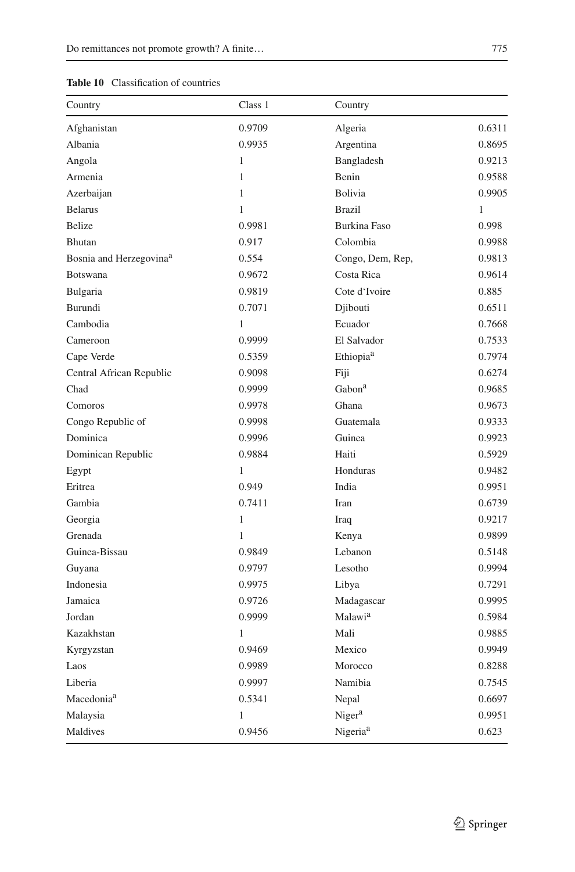<span id="page-29-0"></span>

| Country                             | Class 1      | Country               |              |
|-------------------------------------|--------------|-----------------------|--------------|
| Afghanistan                         | 0.9709       | Algeria               | 0.6311       |
| Albania                             | 0.9935       | Argentina             | 0.8695       |
| Angola                              | $\mathbf{1}$ | Bangladesh            | 0.9213       |
| Armenia                             | $\mathbf{1}$ | Benin                 | 0.9588       |
| Azerbaijan                          | $\mathbf{1}$ | Bolivia               | 0.9905       |
| <b>Belarus</b>                      | 1            | <b>Brazil</b>         | $\mathbf{1}$ |
| <b>Belize</b>                       | 0.9981       | <b>Burkina Faso</b>   | 0.998        |
| <b>Bhutan</b>                       | 0.917        | Colombia              | 0.9988       |
| Bosnia and Herzegovina <sup>a</sup> | 0.554        | Congo, Dem, Rep,      | 0.9813       |
| Botswana                            | 0.9672       | Costa Rica            | 0.9614       |
| Bulgaria                            | 0.9819       | Cote d'Ivoire         | 0.885        |
| Burundi                             | 0.7071       | Djibouti              | 0.6511       |
| Cambodia                            | 1            | Ecuador               | 0.7668       |
| Cameroon                            | 0.9999       | El Salvador           | 0.7533       |
| Cape Verde                          | 0.5359       | Ethiopia <sup>a</sup> | 0.7974       |
| Central African Republic            | 0.9098       | Fiji                  | 0.6274       |
| Chad                                | 0.9999       | Gabon <sup>a</sup>    | 0.9685       |
| Comoros                             | 0.9978       | Ghana                 | 0.9673       |
| Congo Republic of                   | 0.9998       | Guatemala             | 0.9333       |
| Dominica                            | 0.9996       | Guinea                | 0.9923       |
| Dominican Republic                  | 0.9884       | Haiti                 | 0.5929       |
| Egypt                               | $\mathbf{1}$ | Honduras              | 0.9482       |
| Eritrea                             | 0.949        | India                 | 0.9951       |
| Gambia                              | 0.7411       | Iran                  | 0.6739       |
| Georgia                             | 1            | Iraq                  | 0.9217       |
| Grenada                             | $\mathbf{1}$ | Kenya                 | 0.9899       |
| Guinea-Bissau                       | 0.9849       | Lebanon               | 0.5148       |
| Guyana                              | 0.9797       | Lesotho               | 0.9994       |
| Indonesia                           | 0.9975       | Libya                 | 0.7291       |
| Jamaica                             | 0.9726       | Madagascar            | 0.9995       |
| Jordan                              | 0.9999       | Malawi <sup>a</sup>   | 0.5984       |
| Kazakhstan                          | 1            | Mali                  | 0.9885       |
| Kyrgyzstan                          | 0.9469       | Mexico                | 0.9949       |
| Laos                                | 0.9989       | Morocco               | 0.8288       |
| Liberia                             | 0.9997       | Namibia               | 0.7545       |
| Macedonia <sup>a</sup>              | 0.5341       | Nepal                 | 0.6697       |
| Malaysia                            | 1            | Niger <sup>a</sup>    | 0.9951       |
| Maldives                            | 0.9456       | Nigeria <sup>a</sup>  | 0.623        |
|                                     |              |                       |              |

#### **Table 10** Classification of countries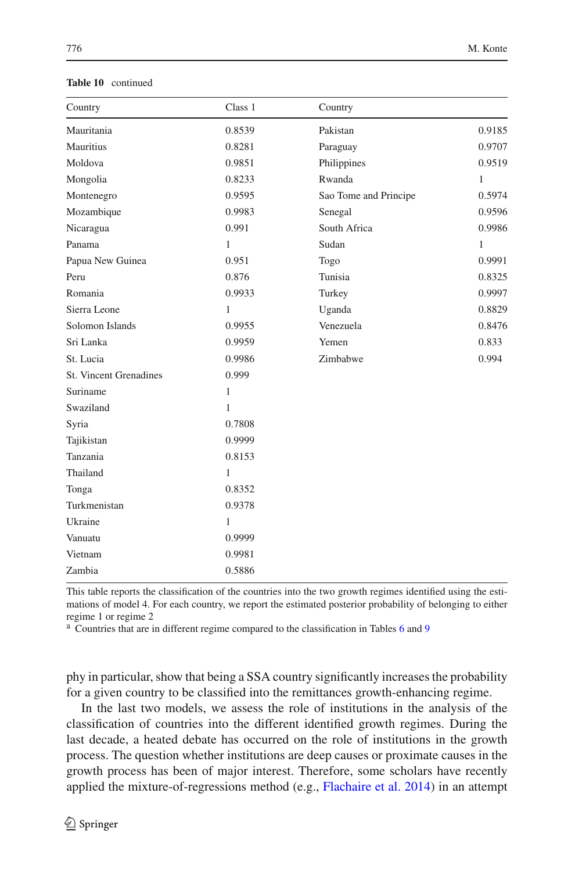| Country                       | Class 1 | Country               |              |
|-------------------------------|---------|-----------------------|--------------|
| Mauritania                    | 0.8539  | Pakistan              | 0.9185       |
| Mauritius                     | 0.8281  | Paraguay              | 0.9707       |
| Moldova                       | 0.9851  | Philippines           | 0.9519       |
| Mongolia                      | 0.8233  | Rwanda                | $\mathbf{1}$ |
| Montenegro                    | 0.9595  | Sao Tome and Principe | 0.5974       |
| Mozambique                    | 0.9983  | Senegal               | 0.9596       |
| Nicaragua                     | 0.991   | South Africa          | 0.9986       |
| Panama                        | 1       | Sudan                 | $\mathbf{1}$ |
| Papua New Guinea              | 0.951   | Togo                  | 0.9991       |
| Peru                          | 0.876   | Tunisia               | 0.8325       |
| Romania                       | 0.9933  | Turkey                | 0.9997       |
| Sierra Leone                  | 1       | Uganda                | 0.8829       |
| Solomon Islands               | 0.9955  | Venezuela             | 0.8476       |
| Sri Lanka                     | 0.9959  | Yemen                 | 0.833        |
| St. Lucia                     | 0.9986  | Zimbabwe              | 0.994        |
| <b>St. Vincent Grenadines</b> | 0.999   |                       |              |
| Suriname                      | 1       |                       |              |
| Swaziland                     | 1       |                       |              |
| Syria                         | 0.7808  |                       |              |
| Tajikistan                    | 0.9999  |                       |              |
| Tanzania                      | 0.8153  |                       |              |
| Thailand                      | 1       |                       |              |
| Tonga                         | 0.8352  |                       |              |
| Turkmenistan                  | 0.9378  |                       |              |
| Ukraine                       | 1       |                       |              |
| Vanuatu                       | 0.9999  |                       |              |
| Vietnam                       | 0.9981  |                       |              |
| Zambia                        | 0.5886  |                       |              |

#### **Table 10** continued

This table reports the classification of the countries into the two growth regimes identified using the estimations of model 4. For each country, we report the estimated posterior probability of belonging to either regime 1 or regime 2

<sup>a</sup> Countries that are in different regime compared to the classification in Tables [6](#page-19-0) and [9](#page-27-0)

phy in particular, show that being a SSA country significantly increases the probability for a given country to be classified into the remittances growth-enhancing regime.

In the last two models, we assess the role of institutions in the analysis of the classification of countries into the different identified growth regimes. During the last decade, a heated debate has occurred on the role of institutions in the growth process. The question whether institutions are deep causes or proximate causes in the growth process has been of major interest. Therefore, some scholars have recently applied the mixture-of-regressions method (e.g., [Flachaire et al. 2014](#page-35-13)) in an attempt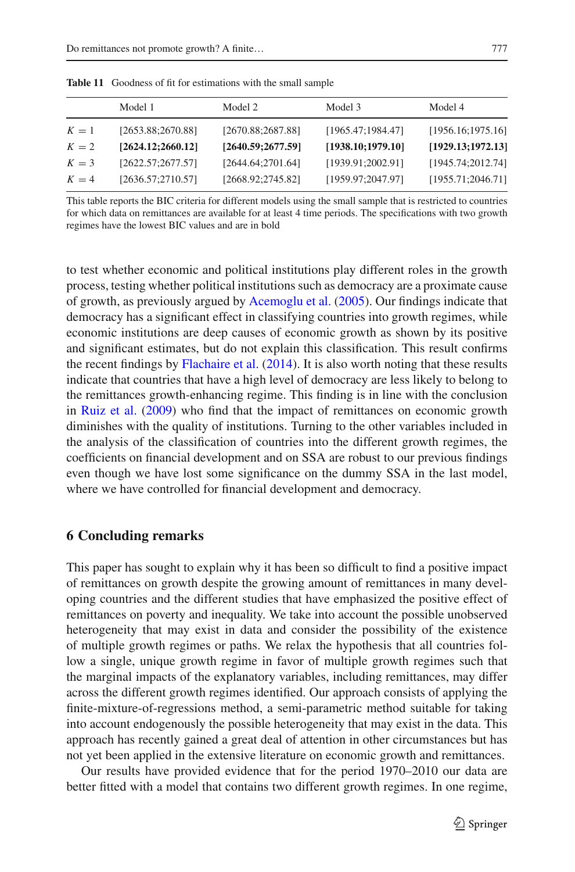|       | Model 1            | Model 2            | Model 3            | Model 4            |
|-------|--------------------|--------------------|--------------------|--------------------|
| $K=1$ | [2653.88;2670.88]  | [2670.88;2687.88]  | [1965.47;1984.47]  | [1956.16; 1975.16] |
| $K=2$ | [2624.12; 2660.12] | [2640.59; 2677.59] | [1938.10; 1979.10] | [1929.13; 1972.13] |
| $K=3$ | [2622.57;2677.57]  | [2644.64;2701.64]  | [1939.91;2002.91]  | [1945.74;2012.74]  |
| $K=4$ | [2636.57;2710.57]  | [2668.92;2745.82]  | [1959.97;2047.97]  | [1955.71; 2046.71] |

<span id="page-31-0"></span>**Table 11** Goodness of fit for estimations with the small sample

This table reports the BIC criteria for different models using the small sample that is restricted to countries for which data on remittances are available for at least 4 time periods. The specifications with two growth regimes have the lowest BIC values and are in bold

to test whether economic and political institutions play different roles in the growth process, testing whether political institutions such as democracy are a proximate cause of growth, as previously argued by [Acemoglu et al.](#page-35-30) [\(2005\)](#page-35-30). Our findings indicate that democracy has a significant effect in classifying countries into growth regimes, while economic institutions are deep causes of economic growth as shown by its positive and significant estimates, but do not explain this classification. This result confirms the recent findings by [Flachaire et al.](#page-35-13) [\(2014\)](#page-35-13). It is also worth noting that these results indicate that countries that have a high level of democracy are less likely to belong to the remittances growth-enhancing regime. This finding is in line with the conclusion in [Ruiz et al.](#page-36-5) [\(2009\)](#page-36-5) who find that the impact of remittances on economic growth diminishes with the quality of institutions. Turning to the other variables included in the analysis of the classification of countries into the different growth regimes, the coefficients on financial development and on SSA are robust to our previous findings even though we have lost some significance on the dummy SSA in the last model, where we have controlled for financial development and democracy.

#### **6 Concluding remarks**

This paper has sought to explain why it has been so difficult to find a positive impact of remittances on growth despite the growing amount of remittances in many developing countries and the different studies that have emphasized the positive effect of remittances on poverty and inequality. We take into account the possible unobserved heterogeneity that may exist in data and consider the possibility of the existence of multiple growth regimes or paths. We relax the hypothesis that all countries follow a single, unique growth regime in favor of multiple growth regimes such that the marginal impacts of the explanatory variables, including remittances, may differ across the different growth regimes identified. Our approach consists of applying the finite-mixture-of-regressions method, a semi-parametric method suitable for taking into account endogenously the possible heterogeneity that may exist in the data. This approach has recently gained a great deal of attention in other circumstances but has not yet been applied in the extensive literature on economic growth and remittances.

Our results have provided evidence that for the period 1970–2010 our data are better fitted with a model that contains two different growth regimes. In one regime,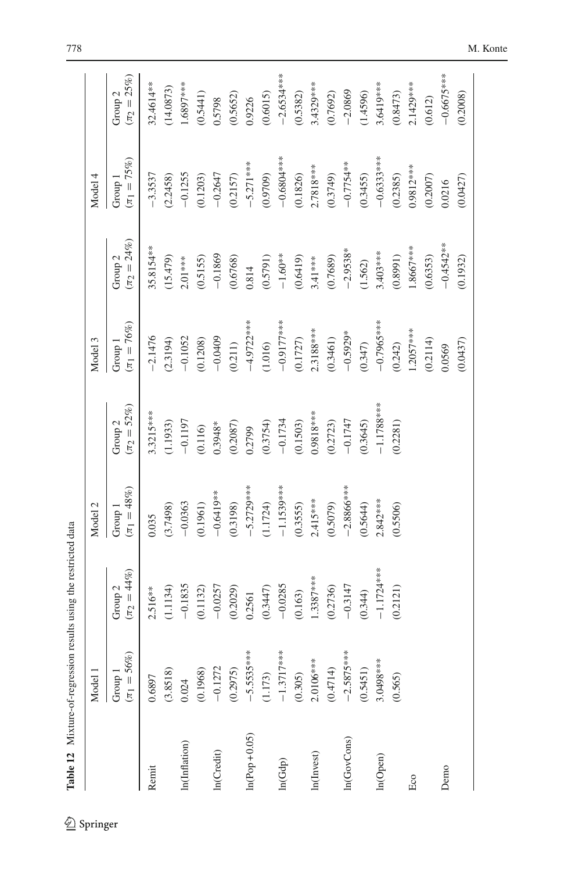|                |                             | Table 12 Mixture-of-regression results using the restricted data |                             |                                        |                             |                                        |                             |                                      |
|----------------|-----------------------------|------------------------------------------------------------------|-----------------------------|----------------------------------------|-----------------------------|----------------------------------------|-----------------------------|--------------------------------------|
|                | Model 1                     |                                                                  | Model 2                     |                                        | Model 3                     |                                        | Model 4                     |                                      |
|                | $(\pi_1 = 56\%)$<br>Group 1 | $(\pi_2 = 44\%)$<br>Group <sub>2</sub>                           | $(\pi_1 = 48\%)$<br>Group 1 | $(\pi_2 = 52\%)$<br>Group <sub>2</sub> | $(\pi_1 = 76\%)$<br>Group 1 | $(\pi_2 = 24\%)$<br>Group <sub>2</sub> | $(\pi_1 = 75\%)$<br>Group 1 | $(\pi_2=25\%)$<br>Group <sub>2</sub> |
| Remit          | 0.6897                      | $2.516***$                                                       | 0.035                       | 3.3215***                              | $-2.1476$                   | 35.8154**                              | $-3.3537$                   | 32.4614**                            |
|                | (3.8518)                    | (1.1134)                                                         | (3.7498)                    | (1.1933)                               | (2.3194)                    | (15.479)                               | (2.2458)                    | (14.0873)                            |
| In(Inflation)  | 0.024                       | $-0.1835$                                                        | $-0.0363$                   | $-0.1197$                              | $-0.1052$                   | $2.01***$                              | $-0.1255$                   | $1.6897***$                          |
|                | (0.1968)                    | (0.1132)                                                         | (0.1961)                    | (0.116)                                | (0.1208)                    | (0.5155)                               | (0.1203)                    | (0.5441)                             |
| In(Credit)     | $-0.1272$                   | $-0.0257$                                                        | $-0.6419***$                | $0.3948*$                              | $-0.0409$                   | $-0.1869$                              | $-0.2647$                   | 0.5798                               |
|                | (0.2975)                    | (0.2029)                                                         | (0.3198)                    | (0.2087)                               | (0.211)                     | (0.6768)                               | (0.2157)                    | (0.5652)                             |
| $ln(Pop+0.05)$ | $*$<br>$-5.5535*$           | 0.2561                                                           | $-5.2729***$                | 0.2799                                 | $-4.9722***$                | 0.814                                  | $-5.271***$                 | 0.9226                               |
|                | (1.173)                     | (0.3447)                                                         | (1.1724)                    | (0.3754)                               | (1.016)                     | (0.5791)                               | (0.9709)                    | (0.6015)                             |
| ln(Gdp)        | $*$<br>$-1.3717*$           | $-0.0285$                                                        | $-1.1539***$                | $-0.1734$                              | $-0.9177$ **                | $-1.60**$                              | $-0.6801$ ****              | $-2.6534***$                         |
|                | (0.305)                     | (0.163)                                                          | (0.3555)                    | (0.1503)                               | (0.1727)                    | (0.6419)                               | (0.1826)                    | (0.5382)                             |
| ln(Invest)     | $2.0106***$                 | $1.3387***$                                                      | $2.415***$                  | $0.9818***$                            | $2.3188***$                 | $3.41***$                              | $2.7818***$                 | 3.4329***                            |
|                | (0.4714)                    | (0.2736)                                                         | (0.5079)                    | (0.2723)                               | (0.3461)                    | (0.7689)                               | (0.3749)                    | (0.7692)                             |
| In(GovCons)    | $*$<br>$-2.5875*$           | $-0.3147$                                                        | $-2.8866***$                | $-0.1747$                              | $-0.5929*$                  | $-2.9538*$                             | $-0.7754**$                 | $-2.0869$                            |
|                | (0.5451)                    | (0.344)                                                          | (0.5644)                    | (0.3645)                               | (0.347)                     | (1.562)                                | (0.3455)                    | (1.4596)                             |
| In(Open)       | 3.0498***                   | $-1.1724***$                                                     | $2.842***$                  | $-1.1788***$                           | $-0.7965***$                | $3.403***$                             | $-0.6333***$                | 3.6419***                            |
|                | (0.565)                     | (0.2121)                                                         | (0.5506)                    | (0.2281)                               | (0.242)                     | (0.8991)                               | (0.2385)                    | (0.8473)                             |
| Eco            |                             |                                                                  |                             |                                        | $1.2057***$                 | $1.8667***$                            | $0.9812***$                 | 2.1429***                            |
|                |                             |                                                                  |                             |                                        | (0.2114)                    | (0.6353)                               | (0.2007)                    | (0.612)                              |
| Demo           |                             |                                                                  |                             |                                        | 0.0569                      | $-0.4542**$                            | 0.0216                      | $-0.6675***$                         |
|                |                             |                                                                  |                             |                                        | (0.0437)                    | (0.1932)                               | (0.0427)                    | (0.2008)                             |

<span id="page-32-0"></span> $\underline{\textcircled{\tiny 2}}$  Springer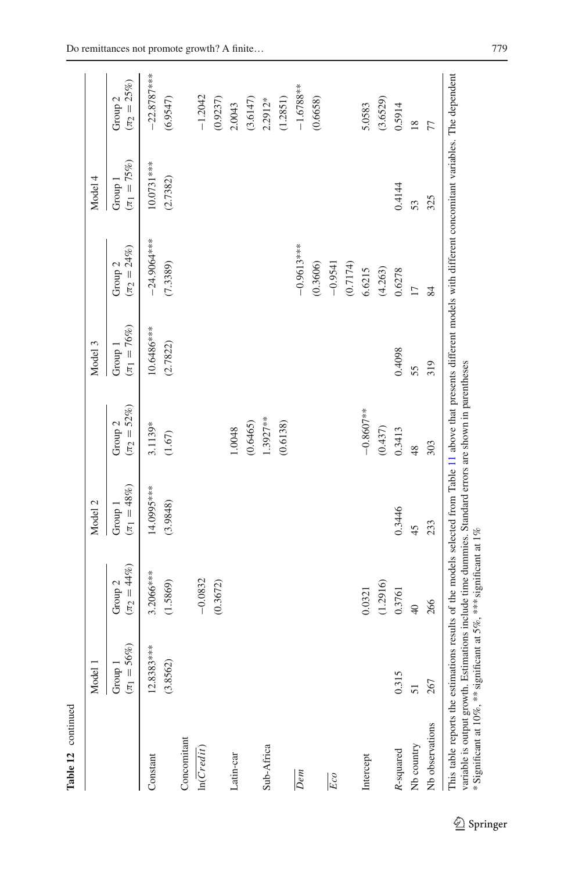|                 | Model 1                     |                                        | Model 2                     |                                        | Model 3                     |                                        | Model 4                     |                                      |
|-----------------|-----------------------------|----------------------------------------|-----------------------------|----------------------------------------|-----------------------------|----------------------------------------|-----------------------------|--------------------------------------|
|                 | $(\pi_1 = 56\%)$<br>Group 1 | $(\pi_2 = 44\%)$<br>Group <sub>2</sub> | $(\pi_1 = 48\%)$<br>Group 1 | $(\pi_2 = 52\%)$<br>Group <sub>2</sub> | $(\pi_1 = 76\%)$<br>Group 1 | $(\pi_2 = 24\%)$<br>Group <sub>2</sub> | $(\pi_1 = 75\%)$<br>Group 1 | $(\pi_2=25\%)$<br>Group <sub>2</sub> |
| Constant        | $12.8383***$<br>(3.8562)    | 3.2066***<br>(1.5869)                  | 14.0995***<br>(3.9848)      | 3.1139*<br>$(1.67)$                    | 10.6486***<br>(2.7822)      | $-24.9064***$<br>(7.3389)              | 10.0731 ***<br>(2.7382)     | $-22.8787***$<br>(6.9547)            |
| Concomitant     |                             |                                        |                             |                                        |                             |                                        |                             |                                      |
| ln(Credi)       |                             | $-0.0832$                              |                             |                                        |                             |                                        |                             | $-1.2042$                            |
|                 |                             | (0.3672)                               |                             |                                        |                             |                                        |                             | (0.9237)                             |
| Latin-car       |                             |                                        |                             | 1.0048                                 |                             |                                        |                             | 2.0043                               |
|                 |                             |                                        |                             | (0.6465)                               |                             |                                        |                             | (3.6147)                             |
| Sub-Africa      |                             |                                        |                             | 1.3927**                               |                             |                                        |                             | $2.2912*$                            |
|                 |                             |                                        |                             | (0.6138)                               |                             |                                        |                             | (1.2851)                             |
| Dem             |                             |                                        |                             |                                        |                             | $-0.9613***$                           |                             | $-1.6788**$                          |
|                 |                             |                                        |                             |                                        |                             | (0.3606)                               |                             | (0.6658)                             |
| Eco             |                             |                                        |                             |                                        |                             | $-0.9541$                              |                             |                                      |
|                 |                             |                                        |                             |                                        |                             | (0.7174)                               |                             |                                      |
| Intercept       |                             | 0.0321                                 |                             | $-0.8607***$                           |                             | 6.6215                                 |                             | 5.0583                               |
|                 |                             | (1.2916)                               |                             | (0.437)                                |                             | (4.263)                                |                             | (3.6529)                             |
| R-squared       | 0.315                       | 0.3761                                 | 0.3446                      | 0.3413                                 | 0.4098                      | 0.6278                                 | 0.4144                      | 0.5914                               |
| Nb country      | 51                          | $\frac{1}{4}$                          | 45                          | 48                                     | 55                          | $\overline{1}$                         | 53                          | $\overline{18}$                      |
| Nb observations | 267                         | 266                                    | 233                         | 303                                    | 319                         | $\frac{8}{4}$                          | 325                         | 77                                   |

Table 12 continued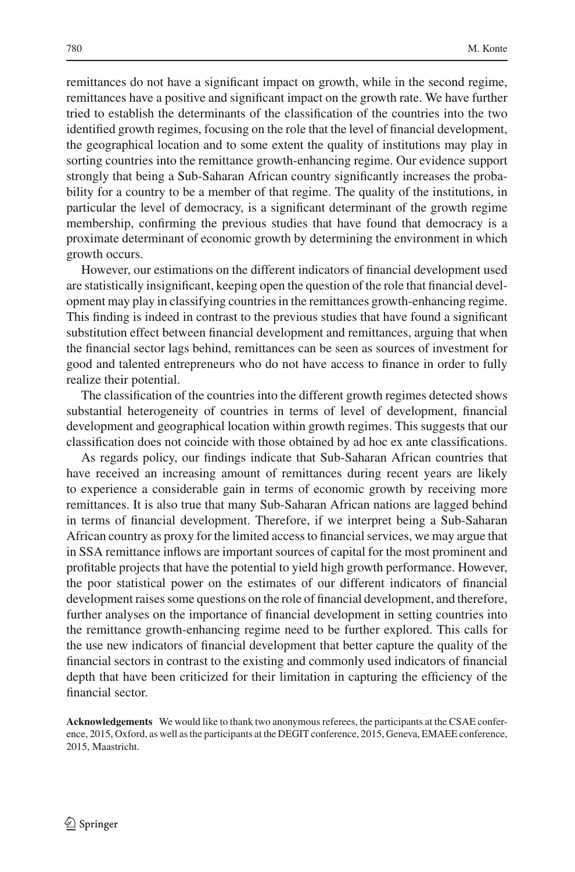remittances do not have a significant impact on growth, while in the second regime, remittances have a positive and significant impact on the growth rate. We have further tried to establish the determinants of the classification of the countries into the two identified growth regimes, focusing on the role that the level of financial development, the geographical location and to some extent the quality of institutions may play in sorting countries into the remittance growth-enhancing regime. Our evidence support strongly that being a Sub-Saharan African country significantly increases the probability for a country to be a member of that regime. The quality of the institutions, in particular the level of democracy, is a significant determinant of the growth regime membership, confirming the previous studies that have found that democracy is a proximate determinant of economic growth by determining the environment in which growth occurs.

However, our estimations on the different indicators of financial development used are statistically insignificant, keeping open the question of the role that financial development may play in classifying countries in the remittances growth-enhancing regime. This finding is indeed in contrast to the previous studies that have found a significant substitution effect between financial development and remittances, arguing that when the financial sector lags behind, remittances can be seen as sources of investment for good and talented entrepreneurs who do not have access to finance in order to fully realize their potential.

The classification of the countries into the different growth regimes detected shows substantial heterogeneity of countries in terms of level of development, financial development and geographical location within growth regimes. This suggests that our classification does not coincide with those obtained by ad hoc ex ante classifications.

As regards policy, our findings indicate that Sub-Saharan African countries that have received an increasing amount of remittances during recent years are likely to experience a considerable gain in terms of economic growth by receiving more remittances. It is also true that many Sub-Saharan African nations are lagged behind in terms of financial development. Therefore, if we interpret being a Sub-Saharan African country as proxy for the limited access to financial services, we may argue that in SSA remittance inflows are important sources of capital for the most prominent and profitable projects that have the potential to yield high growth performance. However, the poor statistical power on the estimates of our different indicators of financial development raises some questions on the role of financial development, and therefore, further analyses on the importance of financial development in setting countries into the remittance growth-enhancing regime need to be further explored. This calls for the use new indicators of financial development that better capture the quality of the financial sectors in contrast to the existing and commonly used indicators of financial depth that have been criticized for their limitation in capturing the efficiency of the financial sector.

**Acknowledgements** We would like to thank two anonymous referees, the participants at the CSAE conference, 2015, Oxford, as well as the participants at the DEGIT conference, 2015, Geneva, EMAEE conference, 2015, Maastricht.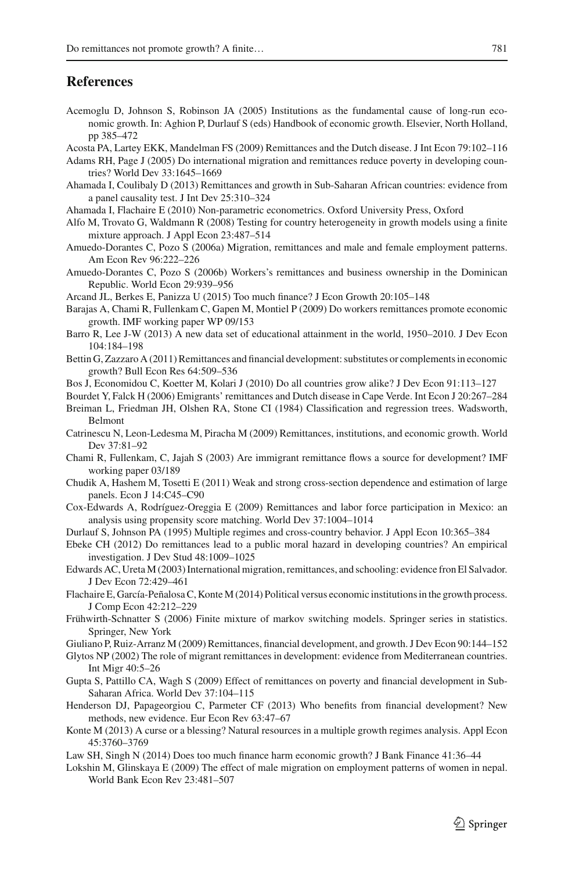#### **References**

- <span id="page-35-30"></span>Acemoglu D, Johnson S, Robinson JA (2005) Institutions as the fundamental cause of long-run economic growth. In: Aghion P, Durlauf S (eds) Handbook of economic growth. Elsevier, North Holland, pp 385–472
- <span id="page-35-19"></span>Acosta PA, Lartey EKK, Mandelman FS (2009) Remittances and the Dutch disease. J Int Econ 79:102–116
- <span id="page-35-6"></span>Adams RH, Page J (2005) Do international migration and remittances reduce poverty in developing countries? World Dev 33:1645–1669
- <span id="page-35-11"></span>Ahamada I, Coulibaly D (2013) Remittances and growth in Sub-Saharan African countries: evidence from a panel causality test. J Int Dev 25:310–324
- <span id="page-35-25"></span>Ahamada I, Flachaire E (2010) Non-parametric econometrics. Oxford University Press, Oxford
- <span id="page-35-29"></span>Alfo M, Trovato G, Waldmann R (2008) Testing for country heterogeneity in growth models using a finite mixture approach. J Appl Econ 23:487–514
- <span id="page-35-14"></span>Amuedo-Dorantes C, Pozo S (2006a) Migration, remittances and male and female employment patterns. Am Econ Rev 96:222–226
- <span id="page-35-15"></span>Amuedo-Dorantes C, Pozo S (2006b) Workers's remittances and business ownership in the Dominican Republic. World Econ 29:939–956
- <span id="page-35-26"></span>Arcand JL, Berkes E, Panizza U (2015) Too much finance? J Econ Growth 20:105–148

<span id="page-35-10"></span>Barajas A, Chami R, Fullenkam C, Gapen M, Montiel P (2009) Do workers remittances promote economic growth. IMF working paper WP 09/153

- <span id="page-35-22"></span>Barro R, Lee J-W (2013) A new data set of educational attainment in the world, 1950–2010. J Dev Econ 104:184–198
- <span id="page-35-3"></span>Bettin G, Zazzaro A (2011) Remittances and financial development: substitutes or complements in economic growth? Bull Econ Res 64:509–536
- <span id="page-35-1"></span>Bos J, Economidou C, Koetter M, Kolari J (2010) Do all countries grow alike? J Dev Econ 91:113–127

<span id="page-35-20"></span>Bourdet Y, Falck H (2006) Emigrants' remittances and Dutch disease in Cape Verde. Int Econ J 20:267–284

- <span id="page-35-21"></span>Breiman L, Friedman JH, Olshen RA, Stone CI (1984) Classification and regression trees. Wadsworth, Belmont
- <span id="page-35-8"></span>Catrinescu N, Leon-Ledesma M, Piracha M (2009) Remittances, institutions, and economic growth. World Dev 37:81–92
- <span id="page-35-9"></span>Chami R, Fullenkam, C, Jajah S (2003) Are immigrant remittance flows a source for development? IMF working paper 03/189
- <span id="page-35-23"></span>Chudik A, Hashem M, Tosetti E (2011) Weak and strong cross-section dependence and estimation of large panels. Econ J 14:C45–C90
- <span id="page-35-17"></span>Cox-Edwards A, Rodríguez-Oreggia E (2009) Remittances and labor force participation in Mexico: an analysis using propensity score matching. World Dev 37:1004–1014
- <span id="page-35-0"></span>Durlauf S, Johnson PA (1995) Multiple regimes and cross-country behavior. J Appl Econ 10:365–384
- <span id="page-35-18"></span>Ebeke CH (2012) Do remittances lead to a public moral hazard in developing countries? An empirical investigation. J Dev Stud 48:1009–1025
- <span id="page-35-4"></span>Edwards AC, Ureta M (2003) International migration, remittances, and schooling: evidence fron El Salvador. J Dev Econ 72:429–461
- <span id="page-35-13"></span>Flachaire E, García-Peñalosa C, Konte M (2014) Political versus economic institutions in the growth process. J Comp Econ 42:212–229
- <span id="page-35-24"></span>Frühwirth-Schnatter S (2006) Finite mixture of markov switching models. Springer series in statistics. Springer, New York
- <span id="page-35-2"></span>Giuliano P, Ruiz-Arranz M (2009) Remittances, financial development, and growth. J Dev Econ 90:144–152
- <span id="page-35-5"></span>Glytos NP (2002) The role of migrant remittances in development: evidence from Mediterranean countries. Int Migr 40:5–26
- <span id="page-35-7"></span>Gupta S, Pattillo CA, Wagh S (2009) Effect of remittances on poverty and financial development in Sub-Saharan Africa. World Dev 37:104–115
- <span id="page-35-28"></span>Henderson DJ, Papageorgiou C, Parmeter CF (2013) Who benefits from financial development? New methods, new evidence. Eur Econ Rev 63:47–67
- <span id="page-35-12"></span>Konte M (2013) A curse or a blessing? Natural resources in a multiple growth regimes analysis. Appl Econ 45:3760–3769
- <span id="page-35-27"></span>Law SH, Singh N (2014) Does too much finance harm economic growth? J Bank Finance 41:36–44
- <span id="page-35-16"></span>Lokshin M, Glinskaya E (2009) The effect of male migration on employment patterns of women in nepal. World Bank Econ Rev 23:481–507